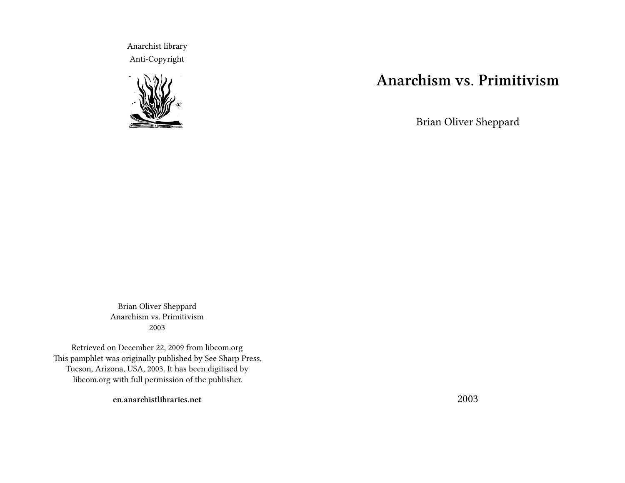Anarchist library Anti-Copyright



# **Anarchism vs. Primitivism**

Brian Oliver Sheppard

Brian Oliver Sheppard Anarchism vs. Primitivism 2003

Retrieved on December 22, 2009 from libcom.org This pamphlet was originally published by See Sharp Press, Tucson, Arizona, USA, 2003. It has been digitised by libcom.org with full permission of the publisher.

**en.anarchistlibraries.net**

2003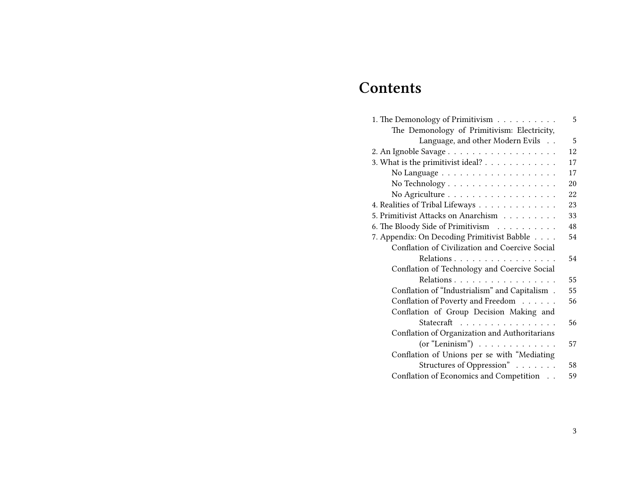# **Contents**

| 1. The Demonology of Primitivism                | 5  |
|-------------------------------------------------|----|
| The Demonology of Primitivism: Electricity,     |    |
| Language, and other Modern Evils                | 5  |
|                                                 | 12 |
| 3. What is the primitivist ideal?               | 17 |
|                                                 | 17 |
| No Technology                                   | 20 |
| No Agriculture                                  | 22 |
| 4. Realities of Tribal Lifeways                 | 23 |
| 5. Primitivist Attacks on Anarchism             | 33 |
| 6. The Bloody Side of Primitivism               | 48 |
| 7. Appendix: On Decoding Primitivist Babble     | 54 |
| Conflation of Civilization and Coercive Social  |    |
| Relations                                       | 54 |
| Conflation of Technology and Coercive Social    |    |
| Relations                                       | 55 |
| Conflation of "Industrialism" and Capitalism .  | 55 |
| Conflation of Poverty and Freedom               | 56 |
| Conflation of Group Decision Making and         |    |
| Statecraft                                      | 56 |
| Conflation of Organization and Authoritarians   |    |
| $(or "Leninism") \dots \dots \dots \dots \dots$ | 57 |
| Conflation of Unions per se with "Mediating     |    |
| Structures of Oppression"                       | 58 |
| Conflation of Economics and Competition         | 59 |
|                                                 |    |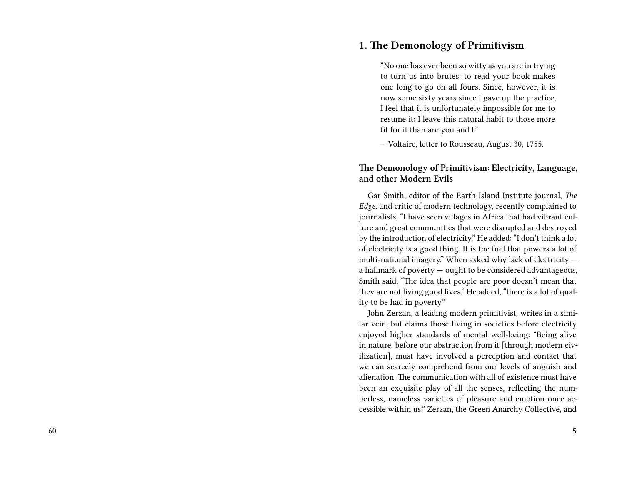## **1. The Demonology of Primitivism**

"No one has ever been so witty as you are in trying to turn us into brutes: to read your book makes one long to go on all fours. Since, however, it is now some sixty years since I gave up the practice, I feel that it is unfortunately impossible for me to resume it: I leave this natural habit to those more fit for it than are you and I."

— Voltaire, letter to Rousseau, August 30, 1755.

#### **The Demonology of Primitivism: Electricity, Language, and other Modern Evils**

Gar Smith, editor of the Earth Island Institute journal, *The Edge*, and critic of modern technology, recently complained to journalists, "I have seen villages in Africa that had vibrant culture and great communities that were disrupted and destroyed by the introduction of electricity." He added: "I don't think a lot of electricity is a good thing. It is the fuel that powers a lot of multi-national imagery." When asked why lack of electricity a hallmark of poverty — ought to be considered advantageous, Smith said, "The idea that people are poor doesn't mean that they are not living good lives." He added, "there is a lot of quality to be had in poverty."

John Zerzan, a leading modern primitivist, writes in a similar vein, but claims those living in societies before electricity enjoyed higher standards of mental well-being: "Being alive in nature, before our abstraction from it [through modern civilization], must have involved a perception and contact that we can scarcely comprehend from our levels of anguish and alienation. The communication with all of existence must have been an exquisite play of all the senses, reflecting the numberless, nameless varieties of pleasure and emotion once accessible within us." Zerzan, the Green Anarchy Collective, and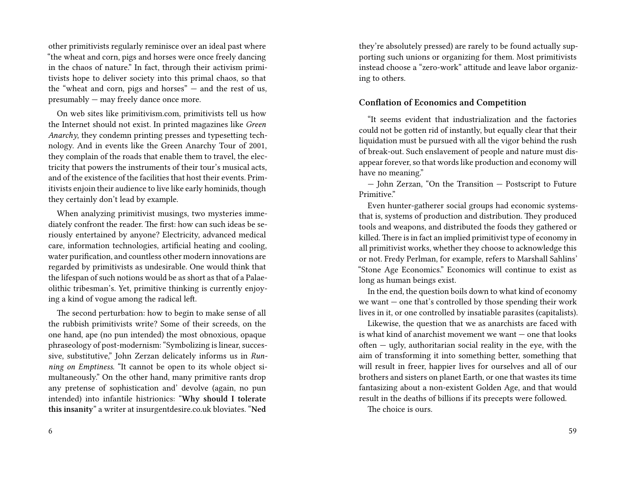other primitivists regularly reminisce over an ideal past where "the wheat and corn, pigs and horses were once freely dancing in the chaos of nature." In fact, through their activism primitivists hope to deliver society into this primal chaos, so that the "wheat and corn, pigs and horses" — and the rest of us, presumably — may freely dance once more.

On web sites like primitivism.com, primitivists tell us how the Internet should not exist. In printed magazines like *Green Anarchy*, they condemn printing presses and typesetting technology. And in events like the Green Anarchy Tour of 2001, they complain of the roads that enable them to travel, the electricity that powers the instruments of their tour's musical acts, and of the existence of the facilities that host their events. Primitivists enjoin their audience to live like early hominids, though they certainly don't lead by example.

When analyzing primitivist musings, two mysteries immediately confront the reader. The first: how can such ideas be seriously entertained by anyone? Electricity, advanced medical care, information technologies, artificial heating and cooling, water purification, and countless other modern innovations are regarded by primitivists as undesirable. One would think that the lifespan of such notions would be as short as that of a Palaeolithic tribesman's. Yet, primitive thinking is currently enjoying a kind of vogue among the radical left.

The second perturbation: how to begin to make sense of all the rubbish primitivists write? Some of their screeds, on the one hand, ape (no pun intended) the most obnoxious, opaque phraseology of post-modernism: "Symbolizing is linear, successive, substitutive," John Zerzan delicately informs us in *Running on Emptiness*. "It cannot be open to its whole object simultaneously." On the other hand, many primitive rants drop any pretense of sophistication and' devolve (again, no pun intended) into infantile histrionics: "**Why should I tolerate this insanity**" a writer at insurgentdesire.co.uk bloviates. "**Ned**

they're absolutely pressed) are rarely to be found actually supporting such unions or organizing for them. Most primitivists instead choose a "zero-work" attitude and leave labor organizing to others.

#### **Conflation of Economics and Competition**

"It seems evident that industrialization and the factories could not be gotten rid of instantly, but equally clear that their liquidation must be pursued with all the vigor behind the rush of break-out. Such enslavement of people and nature must disappear forever, so that words like production and economy will have no meaning."

— John Zerzan, "On the Transition — Postscript to Future Primitive."

Even hunter-gatherer social groups had economic systemsthat is, systems of production and distribution. They produced tools and weapons, and distributed the foods they gathered or killed. There is in fact an implied primitivist type of economy in all primitivist works, whether they choose to acknowledge this or not. Fredy Perlman, for example, refers to Marshall Sahlins' "Stone Age Economics." Economics will continue to exist as long as human beings exist.

In the end, the question boils down to what kind of economy we want — one that's controlled by those spending their work lives in it, or one controlled by insatiable parasites (capitalists).

Likewise, the question that we as anarchists are faced with is what kind of anarchist movement we want — one that looks  $often - ugly$ , authoritarian social reality in the eye, with the aim of transforming it into something better, something that will result in freer, happier lives for ourselves and all of our brothers and sisters on planet Earth, or one that wastes its time fantasizing about a non-existent Golden Age, and that would result in the deaths of billions if its precepts were followed.

The choice is ours.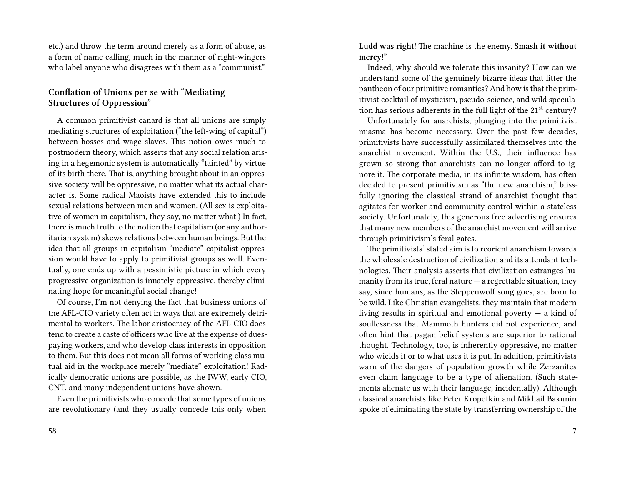etc.) and throw the term around merely as a form of abuse, as a form of name calling, much in the manner of right-wingers who label anyone who disagrees with them as a "communist."

### **Conflation of Unions per se with "Mediating Structures of Oppression"**

A common primitivist canard is that all unions are simply mediating structures of exploitation ("the left-wing of capital") between bosses and wage slaves. This notion owes much to postmodern theory, which asserts that any social relation arising in a hegemonic system is automatically "tainted" by virtue of its birth there. That is, anything brought about in an oppressive society will be oppressive, no matter what its actual character is. Some radical Maoists have extended this to include sexual relations between men and women. (All sex is exploitative of women in capitalism, they say, no matter what.) In fact, there is much truth to the notion that capitalism (or any authoritarian system) skews relations between human beings. But the idea that all groups in capitalism "mediate" capitalist oppression would have to apply to primitivist groups as well. Eventually, one ends up with a pessimistic picture in which every progressive organization is innately oppressive, thereby eliminating hope for meaningful social change!

Of course, I'm not denying the fact that business unions of the AFL-CIO variety often act in ways that are extremely detrimental to workers. The labor aristocracy of the AFL-CIO does tend to create a caste of officers who live at the expense of duespaying workers, and who develop class interests in opposition to them. But this does not mean all forms of working class mutual aid in the workplace merely "mediate" exploitation! Radically democratic unions are possible, as the IWW, early CIO, CNT, and many independent unions have shown.

Even the primitivists who concede that some types of unions are revolutionary (and they usually concede this only when

**Ludd was right!** The machine is the enemy. **Smash it without mercy!**"

Indeed, why should we tolerate this insanity? How can we understand some of the genuinely bizarre ideas that litter the pantheon of our primitive romantics? And how is that the primitivist cocktail of mysticism, pseudo-science, and wild speculation has serious adherents in the full light of the 21<sup>st</sup> century?

Unfortunately for anarchists, plunging into the primitivist miasma has become necessary. Over the past few decades, primitivists have successfully assimilated themselves into the anarchist movement. Within the U.S., their influence has grown so strong that anarchists can no longer afford to ignore it. The corporate media, in its infinite wisdom, has often decided to present primitivism as "the new anarchism," blissfully ignoring the classical strand of anarchist thought that agitates for worker and community control within a stateless society. Unfortunately, this generous free advertising ensures that many new members of the anarchist movement will arrive through primitivism's feral gates.

The primitivists' stated aim is to reorient anarchism towards the wholesale destruction of civilization and its attendant technologies. Their analysis asserts that civilization estranges humanity from its true, feral nature  $-$  a regrettable situation, they say, since humans, as the Steppenwolf song goes, are born to be wild. Like Christian evangelists, they maintain that modern living results in spiritual and emotional poverty  $-$  a kind of soullessness that Mammoth hunters did not experience, and often hint that pagan belief systems are superior to rational thought. Technology, too, is inherently oppressive, no matter who wields it or to what uses it is put. In addition, primitivists warn of the dangers of population growth while Zerzanites even claim language to be a type of alienation. (Such statements alienate us with their language, incidentally). Although classical anarchists like Peter Kropotkin and Mikhail Bakunin spoke of eliminating the state by transferring ownership of the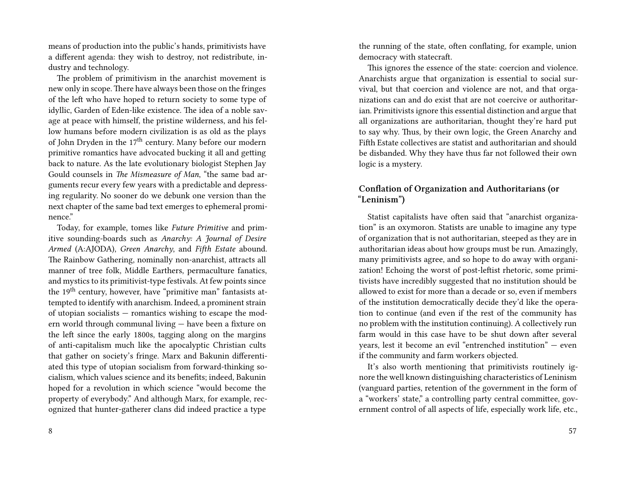means of production into the public's hands, primitivists have a different agenda: they wish to destroy, not redistribute, industry and technology.

The problem of primitivism in the anarchist movement is new only in scope. There have always been those on the fringes of the left who have hoped to return society to some type of idyllic, Garden of Eden-like existence. The idea of a noble savage at peace with himself, the pristine wilderness, and his fellow humans before modern civilization is as old as the plays of John Dryden in the  $17<sup>th</sup>$  century. Many before our modern primitive romantics have advocated bucking it all and getting back to nature. As the late evolutionary biologist Stephen Jay Gould counsels in *The Mismeasure of Man*, "the same bad arguments recur every few years with a predictable and depressing regularity. No sooner do we debunk one version than the next chapter of the same bad text emerges to ephemeral prominence."

Today, for example, tomes like *Future Primitive* and primitive sounding-boards such as *Anarchy: A Journal of Desire Armed* (A:AJODA), *Green Anarchy*, and *Fifth Estate* abound. The Rainbow Gathering, nominally non-anarchist, attracts all manner of tree folk, Middle Earthers, permaculture fanatics, and mystics to its primitivist-type festivals. At few points since the 19<sup>th</sup> century, however, have "primitive man" fantasists attempted to identify with anarchism. Indeed, a prominent strain of utopian socialists — romantics wishing to escape the modern world through communal living — have been a fixture on the left since the early 1800s, tagging along on the margins of anti-capitalism much like the apocalyptic Christian cults that gather on society's fringe. Marx and Bakunin differentiated this type of utopian socialism from forward-thinking socialism, which values science and its benefits; indeed, Bakunin hoped for a revolution in which science "would become the property of everybody." And although Marx, for example, recognized that hunter-gatherer clans did indeed practice a type

the running of the state, often conflating, for example, union democracy with statecraft.

This ignores the essence of the state: coercion and violence. Anarchists argue that organization is essential to social survival, but that coercion and violence are not, and that organizations can and do exist that are not coercive or authoritarian. Primitivists ignore this essential distinction and argue that all organizations are authoritarian, thought they're hard put to say why. Thus, by their own logic, the Green Anarchy and Fifth Estate collectives are statist and authoritarian and should be disbanded. Why they have thus far not followed their own logic is a mystery.

## **Conflation of Organization and Authoritarians (or "Leninism")**

Statist capitalists have often said that "anarchist organization" is an oxymoron. Statists are unable to imagine any type of organization that is not authoritarian, steeped as they are in authoritarian ideas about how groups must be run. Amazingly, many primitivists agree, and so hope to do away with organization! Echoing the worst of post-leftist rhetoric, some primitivists have incredibly suggested that no institution should be allowed to exist for more than a decade or so, even if members of the institution democratically decide they'd like the operation to continue (and even if the rest of the community has no problem with the institution continuing). A collectively run farm would in this case have to be shut down after several years, lest it become an evil "entrenched institution" — even if the community and farm workers objected.

It's also worth mentioning that primitivists routinely ignore the well known distinguishing characteristics of Leninism (vanguard parties, retention of the government in the form of a "workers' state," a controlling party central committee, government control of all aspects of life, especially work life, etc.,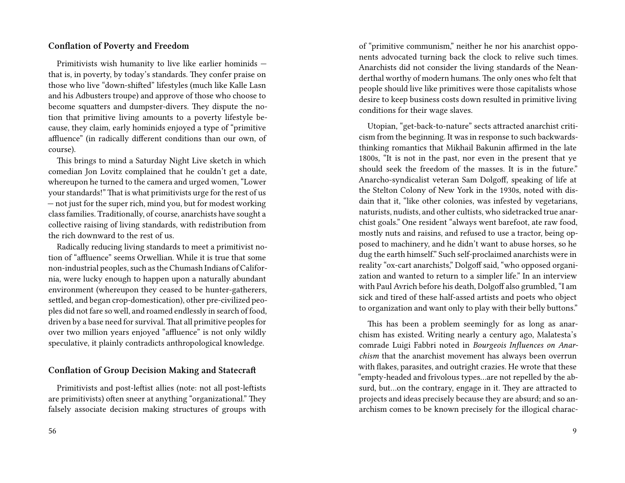#### **Conflation of Poverty and Freedom**

Primitivists wish humanity to live like earlier hominids that is, in poverty, by today's standards. They confer praise on those who live "down-shifted" lifestyles (much like Kalle Lasn and his Adbusters troupe) and approve of those who choose to become squatters and dumpster-divers. They dispute the notion that primitive living amounts to a poverty lifestyle because, they claim, early hominids enjoyed a type of "primitive affluence" (in radically different conditions than our own, of course).

This brings to mind a Saturday Night Live sketch in which comedian Jon Lovitz complained that he couldn't get a date, whereupon he turned to the camera and urged women, "Lower your standards!" That is what primitivists urge for the rest of us — not just for the super rich, mind you, but for modest working class families. Traditionally, of course, anarchists have sought a collective raising of living standards, with redistribution from the rich downward to the rest of us.

Radically reducing living standards to meet a primitivist notion of "affluence" seems Orwellian. While it is true that some non-industrial peoples, such as the Chumash Indians of California, were lucky enough to happen upon a naturally abundant environment (whereupon they ceased to be hunter-gatherers, settled, and began crop-domestication), other pre-civilized peoples did not fare so well, and roamed endlessly in search of food, driven by a base need for survival.That all primitive peoples for over two million years enjoyed "affluence" is not only wildly speculative, it plainly contradicts anthropological knowledge.

#### **Conflation of Group Decision Making and Statecraft**

Primitivists and post-leftist allies (note: not all post-leftists are primitivists) often sneer at anything "organizational." They falsely associate decision making structures of groups with of "primitive communism," neither he nor his anarchist opponents advocated turning back the clock to relive such times. Anarchists did not consider the living standards of the Neanderthal worthy of modern humans. The only ones who felt that people should live like primitives were those capitalists whose desire to keep business costs down resulted in primitive living conditions for their wage slaves.

Utopian, "get-back-to-nature" sects attracted anarchist criticism from the beginning. It was in response to such backwardsthinking romantics that Mikhail Bakunin affirmed in the late 1800s, "It is not in the past, nor even in the present that ye should seek the freedom of the masses. It is in the future." Anarcho-syndicalist veteran Sam Dolgoff, speaking of life at the Stelton Colony of New York in the 1930s, noted with disdain that it, "like other colonies, was infested by vegetarians, naturists, nudists, and other cultists, who sidetracked true anarchist goals." One resident "always went barefoot, ate raw food, mostly nuts and raisins, and refused to use a tractor, being opposed to machinery, and he didn't want to abuse horses, so he dug the earth himself." Such self-proclaimed anarchists were in reality "ox-cart anarchists," Dolgoff said, "who opposed organization and wanted to return to a simpler life." In an interview with Paul Avrich before his death, Dolgoff also grumbled, "I am sick and tired of these half-assed artists and poets who object to organization and want only to play with their belly buttons."

This has been a problem seemingly for as long as anarchism has existed. Writing nearly a century ago, Malatesta's comrade Luigi Fabbri noted in *Bourgeois Influences on Anarchism* that the anarchist movement has always been overrun with flakes, parasites, and outright crazies. He wrote that these "empty-headed and frivolous types…are not repelled by the absurd, but…on the contrary, engage in it. They are attracted to projects and ideas precisely because they are absurd; and so anarchism comes to be known precisely for the illogical charac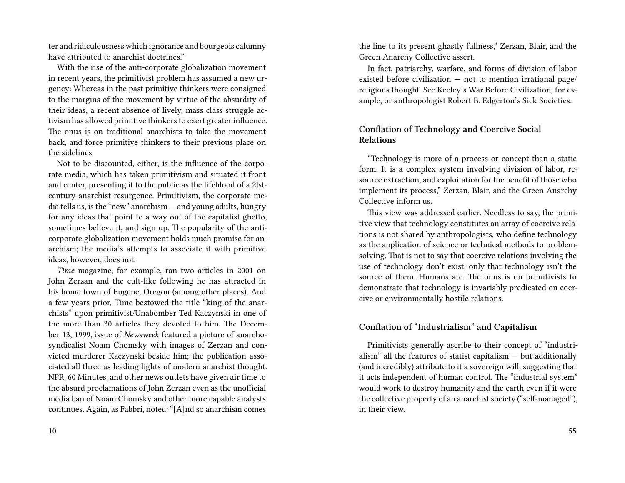ter and ridiculousness which ignorance and bourgeois calumny have attributed to anarchist doctrines."

With the rise of the anti-corporate globalization movement in recent years, the primitivist problem has assumed a new urgency: Whereas in the past primitive thinkers were consigned to the margins of the movement by virtue of the absurdity of their ideas, a recent absence of lively, mass class struggle activism has allowed primitive thinkers to exert greater influence. The onus is on traditional anarchists to take the movement back, and force primitive thinkers to their previous place on the sidelines.

Not to be discounted, either, is the influence of the corporate media, which has taken primitivism and situated it front and center, presenting it to the public as the lifeblood of a 2lstcentury anarchist resurgence. Primitivism, the corporate media tells us, is the "new" anarchism — and young adults, hungry for any ideas that point to a way out of the capitalist ghetto, sometimes believe it, and sign up. The popularity of the anticorporate globalization movement holds much promise for anarchism; the media's attempts to associate it with primitive ideas, however, does not.

*Time* magazine, for example, ran two articles in 2001 on John Zerzan and the cult-like following he has attracted in his home town of Eugene, Oregon (among other places). And a few years prior, Time bestowed the title "king of the anarchists" upon primitivist/Unabomber Ted Kaczynski in one of the more than 30 articles they devoted to him. The December 13, 1999, issue of *Newsweek* featured a picture of anarchosyndicalist Noam Chomsky with images of Zerzan and convicted murderer Kaczynski beside him; the publication associated all three as leading lights of modern anarchist thought. NPR, 60 Minutes, and other news outlets have given air time to the absurd proclamations of John Zerzan even as the unofficial media ban of Noam Chomsky and other more capable analysts continues. Again, as Fabbri, noted: "[A]nd so anarchism comes

the line to its present ghastly fullness," Zerzan, Blair, and the Green Anarchy Collective assert.

In fact, patriarchy, warfare, and forms of division of labor existed before civilization  $-$  not to mention irrational page/ religious thought. See Keeley's War Before Civilization, for example, or anthropologist Robert B. Edgerton's Sick Societies.

## **Conflation of Technology and Coercive Social Relations**

"Technology is more of a process or concept than a static form. It is a complex system involving division of labor, resource extraction, and exploitation for the benefit of those who implement its process," Zerzan, Blair, and the Green Anarchy Collective inform us.

This view was addressed earlier. Needless to say, the primitive view that technology constitutes an array of coercive relations is not shared by anthropologists, who define technology as the application of science or technical methods to problemsolving. That is not to say that coercive relations involving the use of technology don't exist, only that technology isn't the source of them. Humans are. The onus is on primitivists to demonstrate that technology is invariably predicated on coercive or environmentally hostile relations.

### **Conflation of "Industrialism" and Capitalism**

Primitivists generally ascribe to their concept of "industrialism" all the features of statist capitalism  $-$  but additionally (and incredibly) attribute to it a sovereign will, suggesting that it acts independent of human control. The "industrial system" would work to destroy humanity and the earth even if it were the collective property of an anarchist society ("self-managed"), in their view.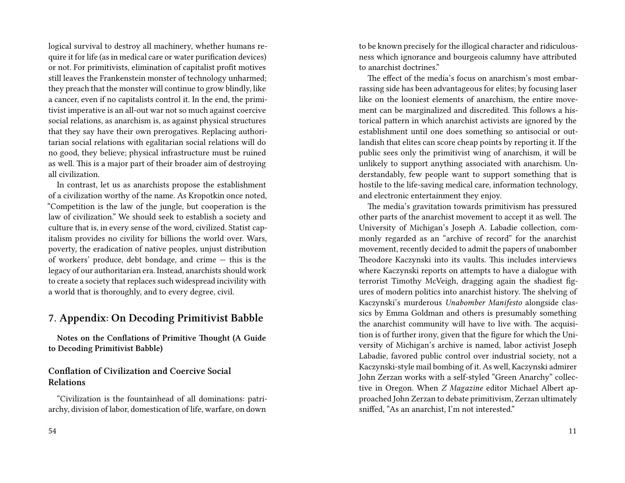logical survival to destroy all machinery, whether humans require it for life (as in medical care or water purification devices) or not. For primitivists, elimination of capitalist profit motives still leaves the Frankenstein monster of technology unharmed; they preach that the monster will continue to grow blindly, like a cancer, even if no capitalists control it. In the end, the primitivist imperative is an all-out war not so much against coercive social relations, as anarchism is, as against physical structures that they say have their own prerogatives. Replacing authoritarian social relations with egalitarian social relations will do no good, they believe; physical infrastructure must be ruined as well. This is a major part of their broader aim of destroying all civilization.

In contrast, let us as anarchists propose the establishment of a civilization worthy of the name. As Kropotkin once noted, "Competition is the law of the jungle, but cooperation is the law of civilization." We should seek to establish a society and culture that is, in every sense of the word, civilized. Statist capitalism provides no civility for billions the world over. Wars, poverty, the eradication of native peoples, unjust distribution of workers' produce, debt bondage, and crime — this is the legacy of our authoritarian era. Instead, anarchists should work to create a society that replaces such widespread incivility with a world that is thoroughly, and to every degree, civil.

## **7. Appendix: On Decoding Primitivist Babble**

**Notes on the Conflations of Primitive Thought (A Guide to Decoding Primitivist Babble)**

#### **Conflation of Civilization and Coercive Social Relations**

"Civilization is the fountainhead of all dominations: patriarchy, division of labor, domestication of life, warfare, on down

to be known precisely for the illogical character and ridiculousness which ignorance and bourgeois calumny have attributed to anarchist doctrines."

The effect of the media's focus on anarchism's most embarrassing side has been advantageous for elites; by focusing laser like on the looniest elements of anarchism, the entire movement can be marginalized and discredited. This follows a historical pattern in which anarchist activists are ignored by the establishment until one does something so antisocial or outlandish that elites can score cheap points by reporting it. If the public sees only the primitivist wing of anarchism, it will be unlikely to support anything associated with anarchism. Understandably, few people want to support something that is hostile to the life-saving medical care, information technology, and electronic entertainment they enjoy.

The media's gravitation towards primitivism has pressured other parts of the anarchist movement to accept it as well. The University of Michigan's Joseph A. Labadie collection, commonly regarded as an "archive of record" for the anarchist movement, recently decided to admit the papers of unabomber Theodore Kaczynski into its vaults. This includes interviews where Kaczynski reports on attempts to have a dialogue with terrorist Timothy McVeigh, dragging again the shadiest figures of modern politics into anarchist history. The shelving of Kaczynski's murderous *Unabomber Manifesto* alongside classics by Emma Goldman and others is presumably something the anarchist community will have to live with. The acquisition is of further irony, given that the figure for which the University of Michigan's archive is named, labor activist Joseph Labadie, favored public control over industrial society, not a Kaczynski-style mail bombing of it. As well, Kaczynski admirer John Zerzan works with a self-styled "Green Anarchy" collective in Oregon. When *Z Magazine* editor Michael Albert approached John Zerzan to debate primitivism, Zerzan ultimately sniffed, "As an anarchist, I'm not interested."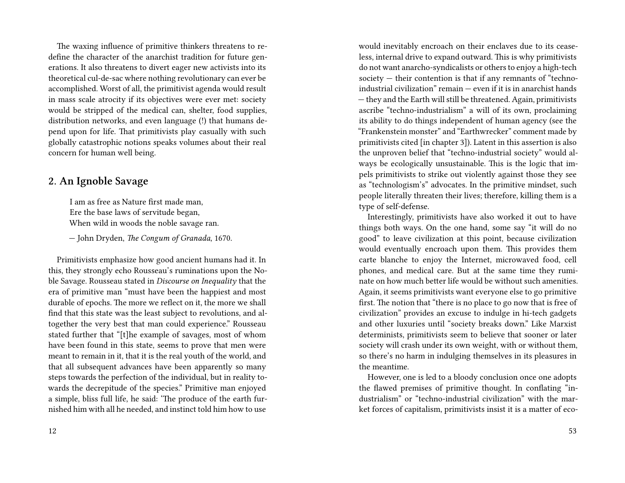The waxing influence of primitive thinkers threatens to redefine the character of the anarchist tradition for future generations. It also threatens to divert eager new activists into its theoretical cul-de-sac where nothing revolutionary can ever be accomplished. Worst of all, the primitivist agenda would result in mass scale atrocity if its objectives were ever met: society would be stripped of the medical can, shelter, food supplies, distribution networks, and even language (!) that humans depend upon for life. That primitivists play casually with such globally catastrophic notions speaks volumes about their real concern for human well being.

## **2. An Ignoble Savage**

I am as free as Nature first made man, Ere the base laws of servitude began, When wild in woods the noble savage ran.

— John Dryden, *The Congum of Granada*, 1670.

Primitivists emphasize how good ancient humans had it. In this, they strongly echo Rousseau's ruminations upon the Noble Savage. Rousseau stated in *Discourse on Inequality* that the era of primitive man "must have been the happiest and most durable of epochs. The more we reflect on it, the more we shall find that this state was the least subject to revolutions, and altogether the very best that man could experience." Rousseau stated further that "[t]he example of savages, most of whom have been found in this state, seems to prove that men were meant to remain in it, that it is the real youth of the world, and that all subsequent advances have been apparently so many steps towards the perfection of the individual, but in reality towards the decrepitude of the species." Primitive man enjoyed a simple, bliss full life, he said: 'The produce of the earth furnished him with all he needed, and instinct told him how to use

would inevitably encroach on their enclaves due to its ceaseless, internal drive to expand outward. This is why primitivists do not want anarcho-syndicalists or others to enjoy a high-tech society — their contention is that if any remnants of "technoindustrial civilization" remain — even if it is in anarchist hands — they and the Earth will still be threatened. Again, primitivists ascribe "techno-industrialism" a will of its own, proclaiming its ability to do things independent of human agency (see the "Frankenstein monster" and "Earthwrecker" comment made by primitivists cited [in chapter 3]). Latent in this assertion is also the unproven belief that "techno-industrial society" would always be ecologically unsustainable. This is the logic that impels primitivists to strike out violently against those they see as "technologism's" advocates. In the primitive mindset, such people literally threaten their lives; therefore, killing them is a type of self-defense.

Interestingly, primitivists have also worked it out to have things both ways. On the one hand, some say "it will do no good" to leave civilization at this point, because civilization would eventually encroach upon them. This provides them carte blanche to enjoy the Internet, microwaved food, cell phones, and medical care. But at the same time they ruminate on how much better life would be without such amenities. Again, it seems primitivists want everyone else to go primitive first. The notion that "there is no place to go now that is free of civilization" provides an excuse to indulge in hi-tech gadgets and other luxuries until "society breaks down." Like Marxist determinists, primitivists seem to believe that sooner or later society will crash under its own weight, with or without them, so there's no harm in indulging themselves in its pleasures in the meantime.

However, one is led to a bloody conclusion once one adopts the flawed premises of primitive thought. In conflating "industrialism" or "techno-industrial civilization" with the market forces of capitalism, primitivists insist it is a matter of eco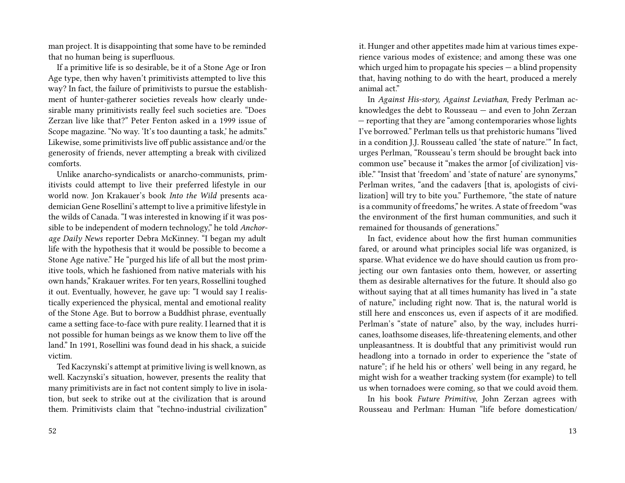man project. It is disappointing that some have to be reminded that no human being is superfluous.

If a primitive life is so desirable, be it of a Stone Age or Iron Age type, then why haven't primitivists attempted to live this way? In fact, the failure of primitivists to pursue the establishment of hunter-gatherer societies reveals how clearly undesirable many primitivists really feel such societies are. "Does Zerzan live like that?" Peter Fenton asked in a 1999 issue of Scope magazine. "No way. 'It's too daunting a task,' he admits." Likewise, some primitivists live off public assistance and/or the generosity of friends, never attempting a break with civilized comforts.

Unlike anarcho-syndicalists or anarcho-communists, primitivists could attempt to live their preferred lifestyle in our world now. Jon Krakauer's book *Into the Wild* presents academician Gene Rosellini's attempt to live a primitive lifestyle in the wilds of Canada. "I was interested in knowing if it was possible to be independent of modern technology," he told *Anchorage Daily News* reporter Debra McKinney. "I began my adult life with the hypothesis that it would be possible to become a Stone Age native." He "purged his life of all but the most primitive tools, which he fashioned from native materials with his own hands," Krakauer writes. For ten years, Rossellini toughed it out. Eventually, however, he gave up: "I would say I realistically experienced the physical, mental and emotional reality of the Stone Age. But to borrow a Buddhist phrase, eventually came a setting face-to-face with pure reality. I learned that it is not possible for human beings as we know them to live off the land." In 1991, Rosellini was found dead in his shack, a suicide victim.

Ted Kaczynski's attempt at primitive living is well known, as well. Kaczynski's situation, however, presents the reality that many primitivists are in fact not content simply to live in isolation, but seek to strike out at the civilization that is around them. Primitivists claim that "techno-industrial civilization"

it. Hunger and other appetites made him at various times experience various modes of existence; and among these was one which urged him to propagate his species — a blind propensity that, having nothing to do with the heart, produced a merely animal act."

In *Against His-story, Against Leviathan*, Fredy Perlman acknowledges the debt to Rousseau — and even to John Zerzan — reporting that they are "among contemporaries whose lights I've borrowed." Perlman tells us that prehistoric humans "lived in a condition J.J. Rousseau called 'the state of nature.'" In fact, urges Perlman, "Rousseau's term should be brought back into common use" because it "makes the armor [of civilization] visible." "Insist that 'freedom' and 'state of nature' are synonyms," Perlman writes, "and the cadavers [that is, apologists of civilization] will try to bite you." Furthemore, "the state of nature is a community of freedoms," he writes. A state of freedom "was the environment of the first human communities, and such it remained for thousands of generations."

In fact, evidence about how the first human communities fared, or around what principles social life was organized, is sparse. What evidence we do have should caution us from projecting our own fantasies onto them, however, or asserting them as desirable alternatives for the future. It should also go without saying that at all times humanity has lived in "a state of nature," including right now. That is, the natural world is still here and ensconces us, even if aspects of it are modified. Perlman's "state of nature" also, by the way, includes hurricanes, loathsome diseases, life-threatening elements, and other unpleasantness. It is doubtful that any primitivist would run headlong into a tornado in order to experience the "state of nature"; if he held his or others' well being in any regard, he might wish for a weather tracking system (for example) to tell us when tornadoes were coming, so that we could avoid them.

In his book *Future Primitive*, John Zerzan agrees with Rousseau and Perlman: Human "life before domestication/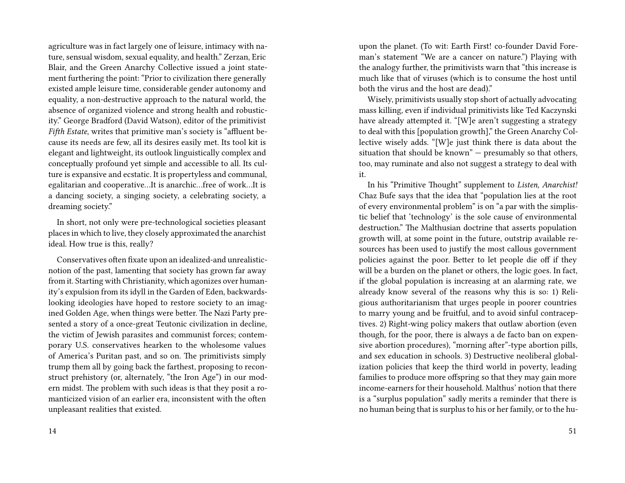agriculture was in fact largely one of leisure, intimacy with nature, sensual wisdom, sexual equality, and health." Zerzan, Eric Blair, and the Green Anarchy Collective issued a joint statement furthering the point: "Prior to civilization there generally existed ample leisure time, considerable gender autonomy and equality, a non-destructive approach to the natural world, the absence of organized violence and strong health and robusticity." George Bradford (David Watson), editor of the primitivist *Fifth Estate*, writes that primitive man's society is "affluent because its needs are few, all its desires easily met. Its tool kit is elegant and lightweight, its outlook linguistically complex and conceptually profound yet simple and accessible to all. Its culture is expansive and ecstatic. It is propertyless and communal, egalitarian and cooperative…It is anarchic…free of work…It is a dancing society, a singing society, a celebrating society, a dreaming society."

In short, not only were pre-technological societies pleasant places in which to live, they closely approximated the anarchist ideal. How true is this, really?

Conservatives often fixate upon an idealized-and unrealisticnotion of the past, lamenting that society has grown far away from it. Starting with Christianity, which agonizes over humanity's expulsion from its idyll in the Garden of Eden, backwardslooking ideologies have hoped to restore society to an imagined Golden Age, when things were better. The Nazi Party presented a story of a once-great Teutonic civilization in decline, the victim of Jewish parasites and communist forces; contemporary U.S. conservatives hearken to the wholesome values of America's Puritan past, and so on. The primitivists simply trump them all by going back the farthest, proposing to reconstruct prehistory (or, alternately, "the Iron Age") in our modern midst. The problem with such ideas is that they posit a romanticized vision of an earlier era, inconsistent with the often unpleasant realities that existed.

upon the planet. (To wit: Earth First! co-founder David Foreman's statement "We are a cancer on nature.") Playing with the analogy further, the primitivists warn that "this increase is much like that of viruses (which is to consume the host until both the virus and the host are dead)."

Wisely, primitivists usually stop short of actually advocating mass killing, even if individual primitivists like Ted Kaczynski have already attempted it. "[W]e aren't suggesting a strategy to deal with this [population growth]," the Green Anarchy Collective wisely adds. "[W]e just think there is data about the situation that should be known" — presumably so that others, too, may ruminate and also not suggest a strategy to deal with it.

In his "Primitive Thought" supplement to *Listen, Anarchist!* Chaz Bufe says that the idea that "population lies at the root of every environmental problem" is on "a par with the simplistic belief that 'technology' is the sole cause of environmental destruction." The Malthusian doctrine that asserts population growth will, at some point in the future, outstrip available resources has been used to justify the most callous government policies against the poor. Better to let people die off if they will be a burden on the planet or others, the logic goes. In fact, if the global population is increasing at an alarming rate, we already know several of the reasons why this is so: 1) Religious authoritarianism that urges people in poorer countries to marry young and be fruitful, and to avoid sinful contraceptives. 2) Right-wing policy makers that outlaw abortion (even though, for the poor, there is always a de facto ban on expensive abortion procedures), "morning after"-type abortion pills, and sex education in schools. 3) Destructive neoliberal globalization policies that keep the third world in poverty, leading families to produce more offspring so that they may gain more income-earners for their household. Malthus' notion that there is a "surplus population" sadly merits a reminder that there is no human being that is surplus to his or her family, or to the hu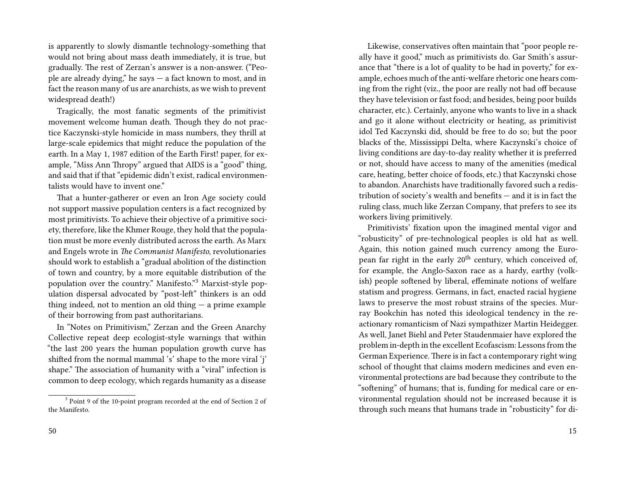is apparently to slowly dismantle technology-something that would not bring about mass death immediately, it is true, but gradually. The rest of Zerzan's answer is a non-answer. ("People are already dying," he says — a fact known to most, and in fact the reason many of us are anarchists, as we wish to prevent widespread death!)

Tragically, the most fanatic segments of the primitivist movement welcome human death. Though they do not practice Kaczynski-style homicide in mass numbers, they thrill at large-scale epidemics that might reduce the population of the earth. In a May 1, 1987 edition of the Earth First! paper, for example, "Miss Ann Thropy" argued that AIDS is a "good" thing, and said that if that "epidemic didn't exist, radical environmentalists would have to invent one."

That a hunter-gatherer or even an Iron Age society could not support massive population centers is a fact recognized by most primitivists. To achieve their objective of a primitive society, therefore, like the Khmer Rouge, they hold that the population must be more evenly distributed across the earth. As Marx and Engels wrote in *The Communist Manifesto*, revolutionaries should work to establish a "gradual abolition of the distinction of town and country, by a more equitable distribution of the population over the country." Manifesto."<sup>3</sup> Marxist-style population dispersal advocated by "post-left" thinkers is an odd thing indeed, not to mention an old thing  $-$  a prime example of their borrowing from past authoritarians.

In "Notes on Primitivism," Zerzan and the Green Anarchy Collective repeat deep ecologist-style warnings that within "the last 200 years the human population growth curve has shifted from the normal mammal 's' shape to the more viral 'j' shape." The association of humanity with a "viral" infection is common to deep ecology, which regards humanity as a disease

Likewise, conservatives often maintain that "poor people really have it good," much as primitivists do. Gar Smith's assurance that "there is a lot of quality to be had in poverty," for example, echoes much of the anti-welfare rhetoric one hears coming from the right (viz., the poor are really not bad off because they have television or fast food; and besides, being poor builds character, etc.). Certainly, anyone who wants to live in a shack and go it alone without electricity or heating, as primitivist idol Ted Kaczynski did, should be free to do so; but the poor blacks of the, Mississippi Delta, where Kaczynski's choice of living conditions are day-to-day reality whether it is preferred or not, should have access to many of the amenities (medical care, heating, better choice of foods, etc.) that Kaczynski chose to abandon. Anarchists have traditionally favored such a redistribution of society's wealth and benefits — and it is in fact the ruling class, much like Zerzan Company, that prefers to see its workers living primitively.

Primitivists' fixation upon the imagined mental vigor and "robusticity" of pre-technological peoples is old hat as well. Again, this notion gained much currency among the European far right in the early  $20<sup>th</sup>$  century, which conceived of, for example, the Anglo-Saxon race as a hardy, earthy (volkish) people softened by liberal, effeminate notions of welfare statism and progress. Germans, in fact, enacted racial hygiene laws to preserve the most robust strains of the species. Murray Bookchin has noted this ideological tendency in the reactionary romanticism of Nazi sympathizer Martin Heidegger. As well, Janet Biehl and Peter Staudenmaier have explored the problem in-depth in the excellent Ecofascism: Lessons from the German Experience. There is in fact a contemporary right wing school of thought that claims modern medicines and even environmental protections are bad because they contribute to the "softening" of humans; that is, funding for medical care or environmental regulation should not be increased because it is through such means that humans trade in "robusticity" for di-

<sup>&</sup>lt;sup>3</sup> Point 9 of the 10-point program recorded at the end of Section 2 of the Manifesto.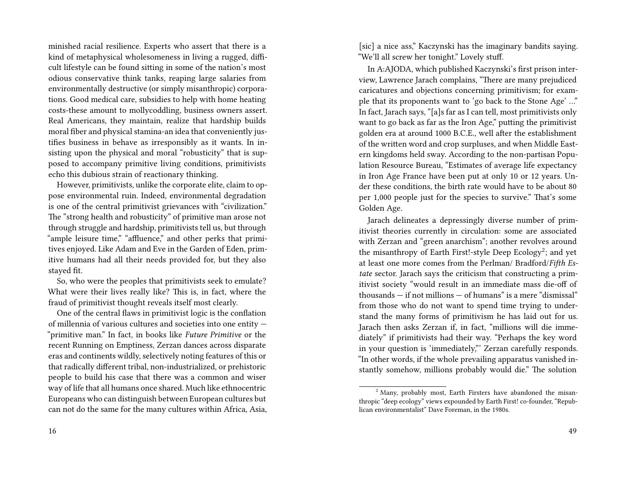minished racial resilience. Experts who assert that there is a kind of metaphysical wholesomeness in living a rugged, difficult lifestyle can be found sitting in some of the nation's most odious conservative think tanks, reaping large salaries from environmentally destructive (or simply misanthropic) corporations. Good medical care, subsidies to help with home heating costs-these amount to mollycoddling, business owners assert. Real Americans, they maintain, realize that hardship builds moral fiber and physical stamina-an idea that conveniently justifies business in behave as irresponsibly as it wants. In insisting upon the physical and moral "robusticity" that is supposed to accompany primitive living conditions, primitivists echo this dubious strain of reactionary thinking.

However, primitivists, unlike the corporate elite, claim to oppose environmental ruin. Indeed, environmental degradation is one of the central primitivist grievances with "civilization." The "strong health and robusticity" of primitive man arose not through struggle and hardship, primitivists tell us, but through "ample leisure time," "affluence," and other perks that primitives enjoyed. Like Adam and Eve in the Garden of Eden, primitive humans had all their needs provided for, but they also stayed fit.

So, who were the peoples that primitivists seek to emulate? What were their lives really like? This is, in fact, where the fraud of primitivist thought reveals itself most clearly.

One of the central flaws in primitivist logic is the conflation of millennia of various cultures and societies into one entity — "primitive man." In fact, in books like *Future Primitive* or the recent Running on Emptiness, Zerzan dances across disparate eras and continents wildly, selectively noting features of this or that radically different tribal, non-industrialized, or prehistoric people to build his case that there was a common and wiser way of life that all humans once shared. Much like ethnocentric Europeans who can distinguish between European cultures but can not do the same for the many cultures within Africa, Asia, [sic] a nice ass," Kaczynski has the imaginary bandits saying. "We'll all screw her tonight." Lovely stuff.

In A:AJODA, which published Kaczynski's first prison interview, Lawrence Jarach complains, "There are many prejudiced caricatures and objections concerning primitivism; for example that its proponents want to 'go back to the Stone Age' …" In fact, Jarach says, "[a]s far as I can tell, most primitivists only want to go back as far as the Iron Age," putting the primitivist golden era at around 1000 B.C.E., well after the establishment of the written word and crop surpluses, and when Middle Eastern kingdoms held sway. According to the non-partisan Population Resource Bureau, "Estimates of average life expectancy in Iron Age France have been put at only 10 or 12 years. Under these conditions, the birth rate would have to be about 80 per 1,000 people just for the species to survive." That's some Golden Age.

Jarach delineates a depressingly diverse number of primitivist theories currently in circulation: some are associated with Zerzan and "green anarchism"; another revolves around the misanthropy of Earth First!-style Deep Ecology<sup>2</sup>; and yet at least one more comes from the Perlman/ Bradford/*Fifth Estate* sector. Jarach says the criticism that constructing a primitivist society "would result in an immediate mass die-off of thousands — if not millions — of humans" is a mere "dismissal" from those who do not want to spend time trying to understand the many forms of primitivism he has laid out for us. Jarach then asks Zerzan if, in fact, "millions will die immediately" if primitivists had their way. "Perhaps the key word in your question is 'immediately,"' Zerzan carefully responds. "In other words, if the whole prevailing apparatus vanished instantly somehow, millions probably would die." The solution

<sup>&</sup>lt;sup>2</sup> Many, probably most, Earth Firsters have abandoned the misanthropic "deep ecology" views expounded by Earth First! co-founder, "Republican environmentalist" Dave Foreman, in the 1980s.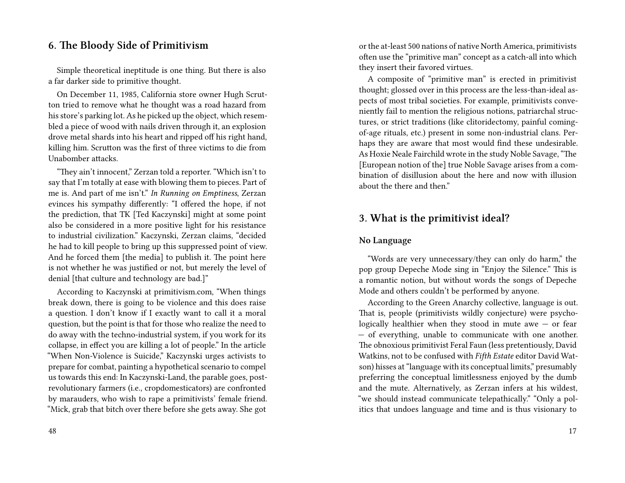## **6. The Bloody Side of Primitivism**

Simple theoretical ineptitude is one thing. But there is also a far darker side to primitive thought.

On December 11, 1985, California store owner Hugh Scrutton tried to remove what he thought was a road hazard from his store's parking lot. As he picked up the object, which resembled a piece of wood with nails driven through it, an explosion drove metal shards into his heart and ripped off his right hand, killing him. Scrutton was the first of three victims to die from Unabomber attacks.

"They ain't innocent," Zerzan told a reporter. "Which isn't to say that I'm totally at ease with blowing them to pieces. Part of me is. And part of me isn't." *In Running on Emptiness*, Zerzan evinces his sympathy differently: "I offered the hope, if not the prediction, that TK [Ted Kaczynski] might at some point also be considered in a more positive light for his resistance to industrial civilization." Kaczynski, Zerzan claims, "decided he had to kill people to bring up this suppressed point of view. And he forced them [the media] to publish it. The point here is not whether he was justified or not, but merely the level of denial [that culture and technology are bad.]"

According to Kaczynski at primitivism.com, "When things break down, there is going to be violence and this does raise a question. I don't know if I exactly want to call it a moral question, but the point is that for those who realize the need to do away with the techno-industrial system, if you work for its collapse, in effect you are killing a lot of people." In the article "When Non-Violence is Suicide," Kaczynski urges activists to prepare for combat, painting a hypothetical scenario to compel us towards this end: In Kaczynski-Land, the parable goes, postrevolutionary farmers (i.e., cropdomesticators) are confronted by marauders, who wish to rape a primitivists' female friend. "Mick, grab that bitch over there before she gets away. She got

48

or the at-least 500 nations of native North America, primitivists often use the "primitive man" concept as a catch-all into which they insert their favored virtues.

A composite of "primitive man" is erected in primitivist thought; glossed over in this process are the less-than-ideal aspects of most tribal societies. For example, primitivists conveniently fail to mention the religious notions, patriarchal structures, or strict traditions (like clitoridectomy, painful comingof-age rituals, etc.) present in some non-industrial clans. Perhaps they are aware that most would find these undesirable. As Hoxie Neale Fairchild wrote in the study Noble Savage, "The [European notion of the] true Noble Savage arises from a combination of disillusion about the here and now with illusion about the there and then."

## **3. What is the primitivist ideal?**

### **No Language**

"Words are very unnecessary/they can only do harm," the pop group Depeche Mode sing in "Enjoy the Silence." This is a romantic notion, but without words the songs of Depeche Mode and others couldn't be performed by anyone.

According to the Green Anarchy collective, language is out. That is, people (primitivists wildly conjecture) were psychologically healthier when they stood in mute awe — or fear — of everything, unable to communicate with one another. The obnoxious primitivist Feral Faun (less pretentiously, David Watkins, not to be confused with *Fifth Estate* editor David Watson) hisses at "language with its conceptual limits," presumably preferring the conceptual limitlessness enjoyed by the dumb and the mute. Alternatively, as Zerzan infers at his wildest, "we should instead communicate telepathically." "Only a politics that undoes language and time and is thus visionary to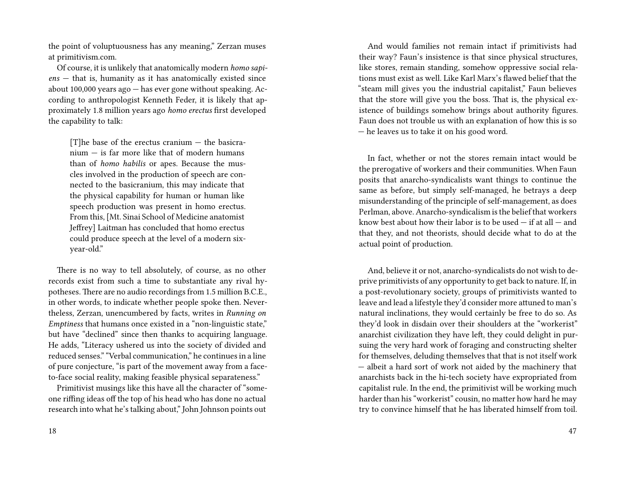the point of voluptuousness has any meaning," Zerzan muses at primitivism.com.

Of course, it is unlikely that anatomically modern *homo sapiens* — that is, humanity as it has anatomically existed since about 100,000 years ago — has ever gone without speaking. According to anthropologist Kenneth Feder, it is likely that approximately 1.8 million years ago *homo erectus* first developed the capability to talk:

[T]he base of the erectus cranium — the basicranium — is far more like that of modern humans than of *homo habilis* or apes. Because the muscles involved in the production of speech are connected to the basicranium, this may indicate that the physical capability for human or human like speech production was present in homo erectus. From this, [Mt. Sinai School of Medicine anatomist Jeffrey] Laitman has concluded that homo erectus could produce speech at the level of a modern sixyear-old."

There is no way to tell absolutely, of course, as no other records exist from such a time to substantiate any rival hypotheses. There are no audio recordings from 1.5 million B.C.E., in other words, to indicate whether people spoke then. Nevertheless, Zerzan, unencumbered by facts, writes in *Running on Emptiness* that humans once existed in a "non-linguistic state," but have "declined" since then thanks to acquiring language. He adds, "Literacy ushered us into the society of divided and reduced senses." "Verbal communication," he continues in a line of pure conjecture, "is part of the movement away from a faceto-face social reality, making feasible physical separateness."

Primitivist musings like this have all the character of "someone riffing ideas off the top of his head who has done no actual research into what he's talking about," John Johnson points out

And would families not remain intact if primitivists had their way? Faun's insistence is that since physical structures, like stores, remain standing, somehow oppressive social relations must exist as well. Like Karl Marx's flawed belief that the "steam mill gives you the industrial capitalist," Faun believes that the store will give you the boss. That is, the physical existence of buildings somehow brings about authority figures. Faun does not trouble us with an explanation of how this is so — he leaves us to take it on his good word.

In fact, whether or not the stores remain intact would be the prerogative of workers and their communities. When Faun posits that anarcho-syndicalists want things to continue the same as before, but simply self-managed, he betrays a deep misunderstanding of the principle of self-management, as does Perlman, above. Anarcho-syndicalism is the belief that workers know best about how their labor is to be used  $-$  if at all  $-$  and that they, and not theorists, should decide what to do at the actual point of production.

And, believe it or not, anarcho-syndicalists do not wish to deprive primitivists of any opportunity to get back to nature. If, in a post-revolutionary society, groups of primitivists wanted to leave and lead a lifestyle they'd consider more attuned to man's natural inclinations, they would certainly be free to do so. As they'd look in disdain over their shoulders at the "workerist" anarchist civilization they have left, they could delight in pursuing the very hard work of foraging and constructing shelter for themselves, deluding themselves that that is not itself work — albeit a hard sort of work not aided by the machinery that anarchists back in the hi-tech society have expropriated from capitalist rule. In the end, the primitivist will be working much harder than his "workerist" cousin, no matter how hard he may try to convince himself that he has liberated himself from toil.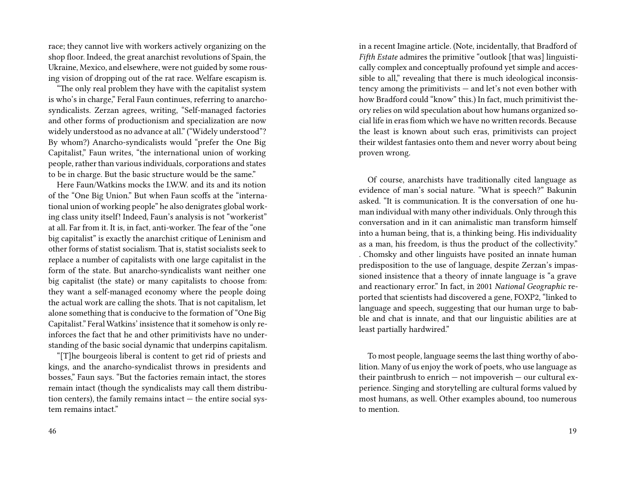race; they cannot live with workers actively organizing on the shop floor. Indeed, the great anarchist revolutions of Spain, the Ukraine, Mexico, and elsewhere, were not guided by some rousing vision of dropping out of the rat race. Welfare escapism is.

"The only real problem they have with the capitalist system is who's in charge," Feral Faun continues, referring to anarchosyndicalists. Zerzan agrees, writing, "Self-managed factories and other forms of productionism and specialization are now widely understood as no advance at all." ("Widely understood"? By whom?) Anarcho-syndicalists would "prefer the One Big Capitalist," Faun writes, "the international union of working people, rather than various individuals, corporations and states to be in charge. But the basic structure would be the same."

Here Faun/Watkins mocks the I.W.W. and its and its notion of the "One Big Union." But when Faun scoffs at the "international union of working people" he also denigrates global working class unity itself! Indeed, Faun's analysis is not "workerist" at all. Far from it. It is, in fact, anti-worker. The fear of the "one big capitalist" is exactly the anarchist critique of Leninism and other forms of statist socialism. That is, statist socialists seek to replace a number of capitalists with one large capitalist in the form of the state. But anarcho-syndicalists want neither one big capitalist (the state) or many capitalists to choose from: they want a self-managed economy where the people doing the actual work are calling the shots. That is not capitalism, let alone something that is conducive to the formation of "One Big Capitalist." Feral Watkins' insistence that it somehow is only reinforces the fact that he and other primitivists have no understanding of the basic social dynamic that underpins capitalism.

"[T]he bourgeois liberal is content to get rid of priests and kings, and the anarcho-syndicalist throws in presidents and bosses," Faun says. "But the factories remain intact, the stores remain intact (though the syndicalists may call them distribution centers), the family remains intact  $-$  the entire social system remains intact."

in a recent Imagine article. (Note, incidentally, that Bradford of *Fifth Estate* admires the primitive "outlook [that was] linguistically complex and conceptually profound yet simple and accessible to all," revealing that there is much ideological inconsistency among the primitivists — and let's not even bother with how Bradford could "know" this.) In fact, much primitivist theory relies on wild speculation about how humans organized social life in eras fiom which we have no written records. Because the least is known about such eras, primitivists can project their wildest fantasies onto them and never worry about being proven wrong.

Of course, anarchists have traditionally cited language as evidence of man's social nature. "What is speech?" Bakunin asked. "It is communication. It is the conversation of one human individual with many other individuals. Only through this conversation and in it can animalistic man transform himself into a human being, that is, a thinking being. His individuality as a man, his freedom, is thus the product of the collectivity." . Chomsky and other linguists have posited an innate human predisposition to the use of language, despite Zerzan's impassioned insistence that a theory of innate language is "a grave and reactionary error." In fact, in 2001 *National Geographic* reported that scientists had discovered a gene, FOXP2, "linked to language and speech, suggesting that our human urge to babble and chat is innate, and that our linguistic abilities are at least partially hardwired."

To most people, language seems the last thing worthy of abolition. Many of us enjoy the work of poets, who use language as their paintbrush to enrich — not impoverish — our cultural experience. Singing and storytelling are cultural forms valued by most humans, as well. Other examples abound, too numerous to mention.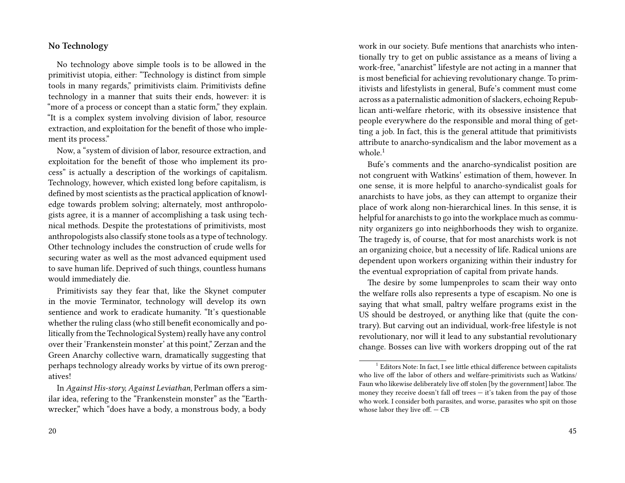#### **No Technology**

No technology above simple tools is to be allowed in the primitivist utopia, either: "Technology is distinct from simple tools in many regards," primitivists claim. Primitivists define technology in a manner that suits their ends, however: it is "more of a process or concept than a static form," they explain. "It is a complex system involving division of labor, resource extraction, and exploitation for the benefit of those who implement its process."

Now, a "system of division of labor, resource extraction, and exploitation for the benefit of those who implement its process" is actually a description of the workings of capitalism. Technology, however, which existed long before capitalism, is defined by most scientists as the practical application of knowledge towards problem solving; alternately, most anthropologists agree, it is a manner of accomplishing a task using technical methods. Despite the protestations of primitivists, most anthropologists also classify stone tools as a type of technology. Other technology includes the construction of crude wells for securing water as well as the most advanced equipment used to save human life. Deprived of such things, countless humans would immediately die.

Primitivists say they fear that, like the Skynet computer in the movie Terminator, technology will develop its own sentience and work to eradicate humanity. "It's questionable whether the ruling class (who still benefit economically and politically from the Technological System) really have any control over their 'Frankenstein monster' at this point," Zerzan and the Green Anarchy collective warn, dramatically suggesting that perhaps technology already works by virtue of its own prerogatives!

work in our society. Bufe mentions that anarchists who intentionally try to get on public assistance as a means of living a work-free, "anarchist" lifestyle are not acting in a manner that is most beneficial for achieving revolutionary change. To primitivists and lifestylists in general, Bufe's comment must come across as a paternalistic admonition of slackers, echoing Republican anti-welfare rhetoric, with its obsessive insistence that people everywhere do the responsible and moral thing of getting a job. In fact, this is the general attitude that primitivists attribute to anarcho-syndicalism and the labor movement as a whole. $1$ 

Bufe's comments and the anarcho-syndicalist position are not congruent with Watkins' estimation of them, however. In one sense, it is more helpful to anarcho-syndicalist goals for anarchists to have jobs, as they can attempt to organize their place of work along non-hierarchical lines. In this sense, it is helpful for anarchists to go into the workplace much as community organizers go into neighborhoods they wish to organize. The tragedy is, of course, that for most anarchists work is not an organizing choice, but a necessity of life. Radical unions are dependent upon workers organizing within their industry for the eventual expropriation of capital from private hands.

The desire by some lumpenproles to scam their way onto the welfare rolls also represents a type of escapism. No one is saying that what small, paltry welfare programs exist in the US should be destroyed, or anything like that (quite the contrary). But carving out an individual, work-free lifestyle is not revolutionary, nor will it lead to any substantial revolutionary change. Bosses can live with workers dropping out of the rat

In *Against His-story, Against Leviathan*, Perlman offers a similar idea, refering to the "Frankenstein monster" as the "Earthwrecker," which "does have a body, a monstrous body, a body

 $1$  Editors Note: In fact, I see little ethical difference between capitalists who live off the labor of others and welfare-primitivists such as Watkins/ Faun who likewise deliberately live off stolen [by the government] labor. The money they receive doesn't fall off trees  $-$  it's taken from the pay of those who work. I consider both parasites, and worse, parasites who spit on those whose labor they live off. — CB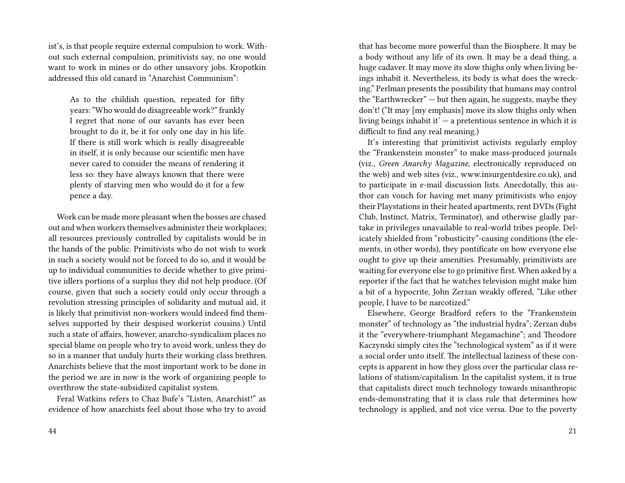ist's, is that people require external compulsion to work. Without such external compulsion, primitivists say, no one would want to work in mines or do other unsavory jobs. Kropotkin addressed this old canard in "Anarchist Communism":

As to the childish question, repeated for fifty years: "Who would do disagreeable work?" frankly I regret that none of our savants has ever been brought to do it, be it for only one day in his life. If there is still work which is really disagreeable in itself, it is only because our scientific men have never cared to consider the means of rendering it less so: they have always known that there were plenty of starving men who would do it for a few pence a day.

Work can be made more pleasant when the bosses are chased out and when workers themselves administer their workplaces; all resources previously controlled by capitalists would be in the hands of the public. Primitivists who do not wish to work in such a society would not be forced to do so, and it would be up to individual communities to decide whether to give primitive idlers portions of a surplus they did not help produce. (Of course, given that such a society could only occur through a revolution stressing principles of solidarity and mutual aid, it is likely that primitivist non-workers would indeed find themselves supported by their despised workerist cousins.) Until such a state of affairs, however, anarcho-syndicalism places no special blame on people who try to avoid work, unless they do so in a manner that unduly hurts their working class brethren. Anarchists believe that the most important work to be done in the period we are in now is the work of organizing people to overthrow the state-subsidized capitalist system.

Feral Watkins refers to Chaz Bufe's "Listen, Anarchist!" as evidence of how anarchists feel about those who try to avoid that has become more powerful than the Biosphere. It may be a body without any life of its own. It may be a dead thing, a huge cadaver. It may move its slow thighs only when living beings inhabit it. Nevertheless, its body is what does the wrecking." Perlman presents the possibility that humans may control the "Earthwrecker" — but then again, he suggests, maybe they don't! ("It may [my emphasis] move its slow thighs only when living beings inhabit it'  $-$  a pretentious sentence in which it is difficult to find any real meaning.)

It's interesting that primitivist activists regularly employ the "Frankenstein monster" to make mass-produced journals (viz., *Green Anarchy Magazine*, electronically reproduced on the web) and web sites (viz., www.insurgentdesire.co.uk), and to participate in e-mail discussion lists. Anecdotally, this author can vouch for having met many primitivists who enjoy their Playstations in their heated apartments, rent DVDs (Fight Club, Instinct, Matrix, Terminator), and otherwise gladly partake in privileges unavailable to real-world tribes people. Delicately shielded from "robusticity"-causing conditions (the elements, in other words), they pontificate on how everyone else ought to give up their amenities. Presumably, primitivists are waiting for everyone else to go primitive first. When asked by a reporter if the fact that he watches television might make him a bit of a hypocrite, John Zerzan weakly offered, "Like other people, I have to be narcotized."

Elsewhere, George Bradford refers to the "Frankenstein monster" of technology as "the industrial hydra"; Zerzan dubs it the "everywhere-triumphant Megamachine"; and Theodore Kaczynski simply cites the "technological system" as if it were a social order unto itself. The intellectual laziness of these concepts is apparent in how they gloss over the particular class relations of statism/capitalism. In the capitalist system, it is true that capitalists direct much technology towards misanthropic ends-demonstrating that it is class rule that determines how technology is applied, and not vice versa. Due to the poverty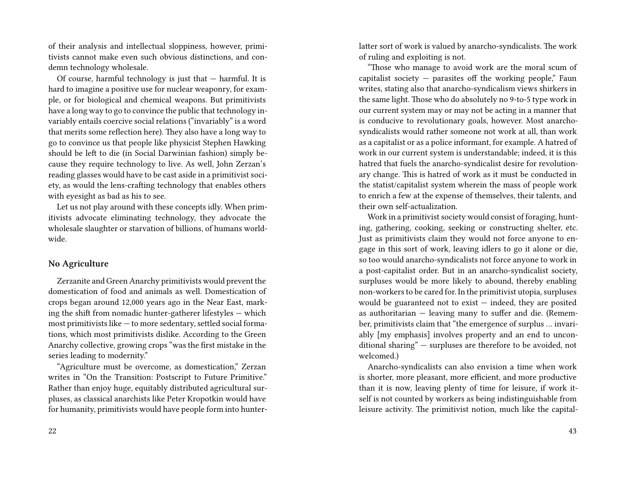of their analysis and intellectual sloppiness, however, primitivists cannot make even such obvious distinctions, and condemn technology wholesale.

Of course, harmful technology is just that  $-$  harmful. It is hard to imagine a positive use for nuclear weaponry, for example, or for biological and chemical weapons. But primitivists have a long way to go to convince the public that technology invariably entails coercive social relations ("invariably" is a word that merits some reflection here). They also have a long way to go to convince us that people like physicist Stephen Hawking should be left to die (in Social Darwinian fashion) simply because they require technology to live. As well, John Zerzan's reading glasses would have to be cast aside in a primitivist society, as would the lens-crafting technology that enables others with eyesight as bad as his to see.

Let us not play around with these concepts idly. When primitivists advocate eliminating technology, they advocate the wholesale slaughter or starvation of billions, of humans worldwide.

#### **No Agriculture**

Zerzanite and Green Anarchy primitivists would prevent the domestication of food and animals as well. Domestication of crops began around 12,000 years ago in the Near East, marking the shift from nomadic hunter-gatherer lifestyles — which most primitivists like — to more sedentary, settled social formations, which most primitivists dislike. According to the Green Anarchy collective, growing crops "was the first mistake in the series leading to modernity."

"Agriculture must be overcome, as domestication," Zerzan writes in "On the Transition: Postscript to Future Primitive." Rather than enjoy huge, equitably distributed agricultural surpluses, as classical anarchists like Peter Kropotkin would have for humanity, primitivists would have people form into hunterlatter sort of work is valued by anarcho-syndicalists. The work of ruling and exploiting is not.

"Those who manage to avoid work are the moral scum of capitalist society  $-$  parasites off the working people," Faun writes, stating also that anarcho-syndicalism views shirkers in the same light. Those who do absolutely no 9-to-5 type work in our current system may or may not be acting in a manner that is conducive to revolutionary goals, however. Most anarchosyndicalists would rather someone not work at all, than work as a capitalist or as a police informant, for example. A hatred of work in our current system is understandable; indeed, it is this hatred that fuels the anarcho-syndicalist desire for revolutionary change. This is hatred of work as it must be conducted in the statist/capitalist system wherein the mass of people work to enrich a few at the expense of themselves, their talents, and their own self-actualization.

Work in a primitivist society would consist of foraging, hunting, gathering, cooking, seeking or constructing shelter, etc. Just as primitivists claim they would not force anyone to engage in this sort of work, leaving idlers to go it alone or die, so too would anarcho-syndicalists not force anyone to work in a post-capitalist order. But in an anarcho-syndicalist society, surpluses would be more likely to abound, thereby enabling non-workers to be cared for. In the primitivist utopia, surpluses would be guaranteed not to exist  $-$  indeed, they are posited as authoritarian — leaving many to suffer and die. (Remember, primitivists claim that "the emergence of surplus … invariably [my emphasis] involves property and an end to unconditional sharing" — surpluses are therefore to be avoided, not welcomed.)

Anarcho-syndicalists can also envision a time when work is shorter, more pleasant, more efficient, and more productive than it is now, leaving plenty of time for leisure, if work itself is not counted by workers as being indistinguishable from leisure activity. The primitivist notion, much like the capital-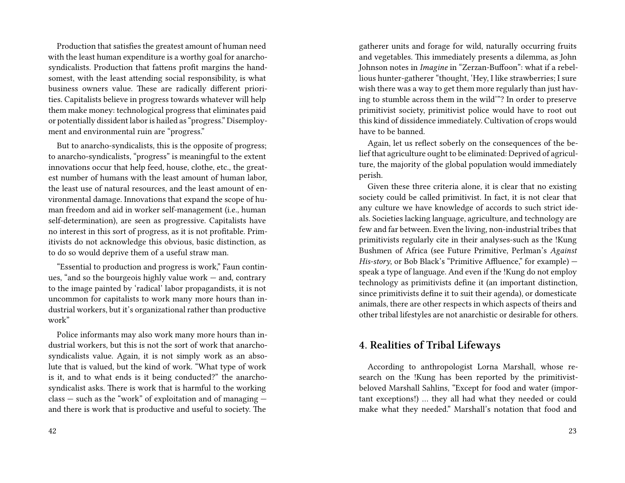Production that satisfies the greatest amount of human need with the least human expenditure is a worthy goal for anarchosyndicalists. Production that fattens profit margins the handsomest, with the least attending social responsibility, is what business owners value. These are radically different priorities. Capitalists believe in progress towards whatever will help them make money: technological progress that eliminates paid or potentially dissident labor is hailed as "progress." Disemployment and environmental ruin are "progress."

But to anarcho-syndicalists, this is the opposite of progress; to anarcho-syndicalists, "progress" is meaningful to the extent innovations occur that help feed, house, clothe, etc., the greatest number of humans with the least amount of human labor, the least use of natural resources, and the least amount of environmental damage. Innovations that expand the scope of human freedom and aid in worker self-management (i.e., human self-determination), are seen as progressive. Capitalists have no interest in this sort of progress, as it is not profitable. Primitivists do not acknowledge this obvious, basic distinction, as to do so would deprive them of a useful straw man.

"Essential to production and progress is work," Faun continues, "and so the bourgeois highly value work — and, contrary to the image painted by 'radical' labor propagandists, it is not uncommon for capitalists to work many more hours than industrial workers, but it's organizational rather than productive work"

Police informants may also work many more hours than industrial workers, but this is not the sort of work that anarchosyndicalists value. Again, it is not simply work as an absolute that is valued, but the kind of work. "What type of work is it, and to what ends is it being conducted?" the anarchosyndicalist asks. There is work that is harmful to the working class — such as the "work" of exploitation and of managing and there is work that is productive and useful to society. The

gatherer units and forage for wild, naturally occurring fruits and vegetables. This immediately presents a dilemma, as John Johnson notes in *Imagine* in "Zerzan-Buffoon": what if a rebellious hunter-gatherer "thought, 'Hey, I like strawberries; I sure wish there was a way to get them more regularly than just having to stumble across them in the wild'"? In order to preserve primitivist society, primitivist police would have to root out this kind of dissidence immediately. Cultivation of crops would have to be banned.

Again, let us reflect soberly on the consequences of the belief that agriculture ought to be eliminated: Deprived of agriculture, the majority of the global population would immediately perish.

Given these three criteria alone, it is clear that no existing society could be called primitivist. In fact, it is not clear that any culture we have knowledge of accords to such strict ideals. Societies lacking language, agriculture, and technology are few and far between. Even the living, non-industrial tribes that primitivists regularly cite in their analyses-such as the !Kung Bushmen of Africa (see Future Primitive, Perlman's *Against His-story*, or Bob Black's "Primitive Affluence," for example) – speak a type of language. And even if the !Kung do not employ technology as primitivists define it (an important distinction, since primitivists define it to suit their agenda), or domesticate animals, there are other respects in which aspects of theirs and other tribal lifestyles are not anarchistic or desirable for others.

# **4. Realities of Tribal Lifeways**

According to anthropologist Lorna Marshall, whose research on the !Kung has been reported by the primitivistbeloved Marshall Sahlins, "Except for food and water (important exceptions!) … they all had what they needed or could make what they needed." Marshall's notation that food and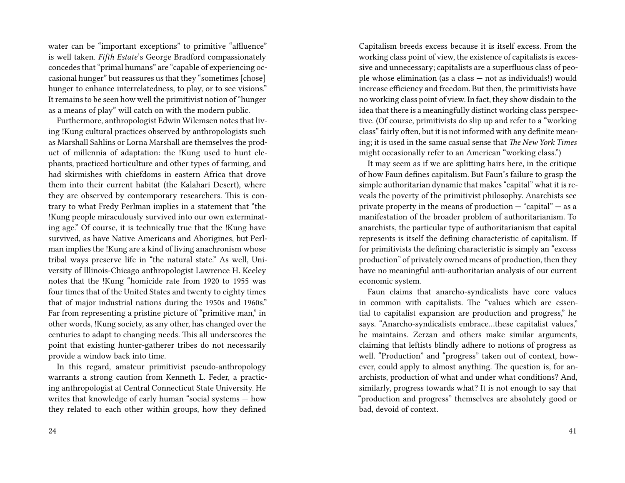water can be "important exceptions" to primitive "affluence" is well taken. *Fifth Estate*'s George Bradford compassionately concedes that "primal humans" are "capable of experiencing occasional hunger" but reassures us that they "sometimes [chose] hunger to enhance interrelatedness, to play, or to see visions." It remains to be seen how well the primitivist notion of "hunger as a means of play" will catch on with the modern public.

Furthermore, anthropologist Edwin Wilemsen notes that living !Kung cultural practices observed by anthropologists such as Marshall Sahlins or Lorna Marshall are themselves the product of millennia of adaptation: the !Kung used to hunt elephants, practiced horticulture and other types of farming, and had skirmishes with chiefdoms in eastern Africa that drove them into their current habitat (the Kalahari Desert), where they are observed by contemporary researchers. This is contrary to what Fredy Perlman implies in a statement that "the !Kung people miraculously survived into our own exterminating age." Of course, it is technically true that the !Kung have survived, as have Native Americans and Aborigines, but Perlman implies the !Kung are a kind of living anachronism whose tribal ways preserve life in "the natural state." As well, University of Illinois-Chicago anthropologist Lawrence H. Keeley notes that the !Kung "homicide rate from 1920 to 1955 was four times that of the United States and twenty to eighty times that of major industrial nations during the 1950s and 1960s." Far from representing a pristine picture of "primitive man," in other words, !Kung society, as any other, has changed over the centuries to adapt to changing needs. This all underscores the point that existing hunter-gatherer tribes do not necessarily provide a window back into time.

In this regard, amateur primitivist pseudo-anthropology warrants a strong caution from Kenneth L. Feder, a practicing anthropologist at Central Connecticut State University. He writes that knowledge of early human "social systems — how they related to each other within groups, how they defined

Capitalism breeds excess because it is itself excess. From the working class point of view, the existence of capitalists is excessive and unnecessary; capitalists are a superfluous class of people whose elimination (as a class — not as individuals!) would increase efficiency and freedom. But then, the primitivists have no working class point of view. In fact, they show disdain to the idea that there is a meaningfully distinct working class perspective. (Of course, primitivists do slip up and refer to a "working class" fairly often, but it is not informed with any definite meaning; it is used in the same casual sense that *The New York Times* might occasionally refer to an American "working class.")

It may seem as if we are splitting hairs here, in the critique of how Faun defines capitalism. But Faun's failure to grasp the simple authoritarian dynamic that makes "capital" what it is reveals the poverty of the primitivist philosophy. Anarchists see private property in the means of production  $-$  "capital"  $-$  as a manifestation of the broader problem of authoritarianism. To anarchists, the particular type of authoritarianism that capital represents is itself the defining characteristic of capitalism. If for primitivists the defining characteristic is simply an "excess production" of privately owned means of production, then they have no meaningful anti-authoritarian analysis of our current economic system.

Faun claims that anarcho-syndicalists have core values in common with capitalists. The "values which are essential to capitalist expansion are production and progress," he says. "Anarcho-syndicalists embrace…these capitalist values," he maintains. Zerzan and others make similar arguments, claiming that leftists blindly adhere to notions of progress as well. "Production" and "progress" taken out of context, however, could apply to almost anything. The question is, for anarchists, production of what and under what conditions? And, similarly, progress towards what? It is not enough to say that "production and progress" themselves are absolutely good or bad, devoid of context.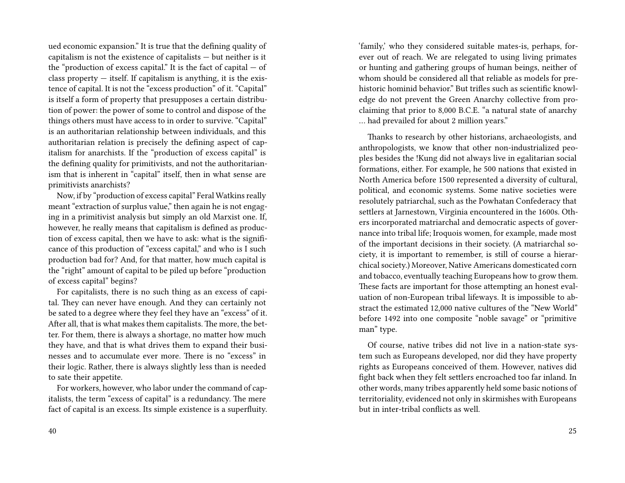ued economic expansion." It is true that the defining quality of capitalism is not the existence of capitalists — but neither is it the "production of excess capital." It is the fact of capital  $-$  of class property  $-$  itself. If capitalism is anything, it is the existence of capital. It is not the "excess production" of it. "Capital" is itself a form of property that presupposes a certain distribution of power: the power of some to control and dispose of the things others must have access to in order to survive. "Capital" is an authoritarian relationship between individuals, and this authoritarian relation is precisely the defining aspect of capitalism for anarchists. If the "production of excess capital" is the defining quality for primitivists, and not the authoritarianism that is inherent in "capital" itself, then in what sense are primitivists anarchists?

Now, if by "production of excess capital" Feral Watkins really meant "extraction of surplus value," then again he is not engaging in a primitivist analysis but simply an old Marxist one. If, however, he really means that capitalism is defined as production of excess capital, then we have to ask: what is the significance of this production of "excess capital," and who is I such production bad for? And, for that matter, how much capital is the "right" amount of capital to be piled up before "production of excess capital" begins?

For capitalists, there is no such thing as an excess of capital. They can never have enough. And they can certainly not be sated to a degree where they feel they have an "excess" of it. After all, that is what makes them capitalists. The more, the better. For them, there is always a shortage, no matter how much they have, and that is what drives them to expand their businesses and to accumulate ever more. There is no "excess" in their logic. Rather, there is always slightly less than is needed to sate their appetite.

For workers, however, who labor under the command of capitalists, the term "excess of capital" is a redundancy. The mere fact of capital is an excess. Its simple existence is a superfluity. 'family,' who they considered suitable mates-is, perhaps, forever out of reach. We are relegated to using living primates or hunting and gathering groups of human beings, neither of whom should be considered all that reliable as models for prehistoric hominid behavior." But trifles such as scientific knowledge do not prevent the Green Anarchy collective from proclaiming that prior to 8,000 B.C.E. "a natural state of anarchy … had prevailed for about 2 million years."

Thanks to research by other historians, archaeologists, and anthropologists, we know that other non-industrialized peoples besides the !Kung did not always live in egalitarian social formations, either. For example, he 500 nations that existed in North America before 1500 represented a diversity of cultural, political, and economic systems. Some native societies were resolutely patriarchal, such as the Powhatan Confederacy that settlers at Jarnestown, Virginia encountered in the 1600s. Others incorporated matriarchal and democratic aspects of governance into tribal life; Iroquois women, for example, made most of the important decisions in their society. (A matriarchal society, it is important to remember, is still of course a hierarchical society.) Moreover, Native Americans domesticated corn and tobacco, eventually teaching Europeans how to grow them. These facts are important for those attempting an honest evaluation of non-European tribal lifeways. It is impossible to abstract the estimated 12,000 native cultures of the "New World" before 1492 into one composite "noble savage" or "primitive man" type.

Of course, native tribes did not live in a nation-state system such as Europeans developed, nor did they have property rights as Europeans conceived of them. However, natives did fight back when they felt settlers encroached too far inland. In other words, many tribes apparently held some basic notions of territoriality, evidenced not only in skirmishes with Europeans but in inter-tribal conflicts as well.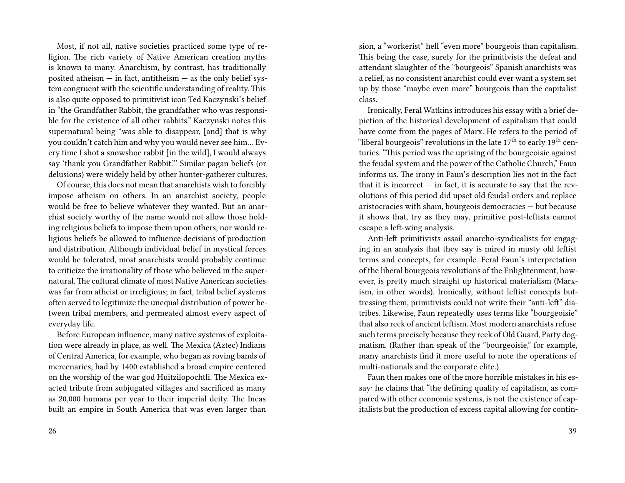Most, if not all, native societies practiced some type of religion. The rich variety of Native American creation myths is known to many. Anarchism, by contrast, has traditionally posited atheism  $-$  in fact, antitheism  $-$  as the only belief system congruent with the scientific understanding of reality. This is also quite opposed to primitivist icon Ted Kaczynski's belief in "the Grandfather Rabbit, the grandfather who was responsible for the existence of all other rabbits." Kaczynski notes this supernatural being "was able to disappear, [and] that is why you couldn't catch him and why you would never see him… Every time I shot a snowshoe rabbit [in the wild], I would always say 'thank you Grandfather Rabbit."' Similar pagan beliefs (or delusions) were widely held by other hunter-gatherer cultures.

Of course, this does not mean that anarchists wish to forcibly impose atheism on others. In an anarchist society, people would be free to believe whatever they wanted. But an anarchist society worthy of the name would not allow those holding religious beliefs to impose them upon others, nor would religious beliefs be allowed to influence decisions of production and distribution. Although individual belief in mystical forces would be tolerated, most anarchists would probably continue to criticize the irrationality of those who believed in the supernatural. The cultural climate of most Native American societies was far from atheist or irreligious; in fact, tribal belief systems often served to legitimize the unequal distribution of power between tribal members, and permeated almost every aspect of everyday life.

Before European influence, many native systems of exploitation were already in place, as well. The Mexica (Aztec) Indians of Central America, for example, who began as roving bands of mercenaries, had by 1400 established a broad empire centered on the worship of the war god Huitzilopochtli. The Mexica exacted tribute from subjugated villages and sacrificed as many as 20,000 humans per year to their imperial deity. The Incas built an empire in South America that was even larger than

sion, a "workerist" hell "even more" bourgeois than capitalism. This being the case, surely for the primitivists the defeat and attendant slaughter of the "bourgeois" Spanish anarchists was a relief, as no consistent anarchist could ever want a system set up by those "maybe even more" bourgeois than the capitalist class.

Ironically, Feral Watkins introduces his essay with a brief depiction of the historical development of capitalism that could have come from the pages of Marx. He refers to the period of "liberal bourgeois" revolutions in the late  $17<sup>th</sup>$  to early  $19<sup>th</sup>$  centuries. "This period was the uprising of the bourgeoisie against the feudal system and the power of the Catholic Church," Faun informs us. The irony in Faun's description lies not in the fact that it is incorrect  $-$  in fact, it is accurate to say that the revolutions of this period did upset old feudal orders and replace aristocracies with sham, bourgeois democracies — but because it shows that, try as they may, primitive post-leftists cannot escape a left-wing analysis.

Anti-left primitivists assail anarcho-syndicalists for engaging in an analysis that they say is mired in musty old leftist terms and concepts, for example. Feral Faun's interpretation of the liberal bourgeois revolutions of the Enlightenment, however, is pretty much straight up historical materialism (Marxism, in other words). Ironically, without leftist concepts buttressing them, primitivists could not write their "anti-left" diatribes. Likewise, Faun repeatedly uses terms like "bourgeoisie" that also reek of ancient leftism. Most modern anarchists refuse such terms precisely because they reek of Old Guard, Party dogmatism. (Rather than speak of the "bourgeoisie," for example, many anarchists find it more useful to note the operations of multi-nationals and the corporate elite.)

Faun then makes one of the more horrible mistakes in his essay: he claims that "the defining quality of capitalism, as compared with other economic systems, is not the existence of capitalists but the production of excess capital allowing for contin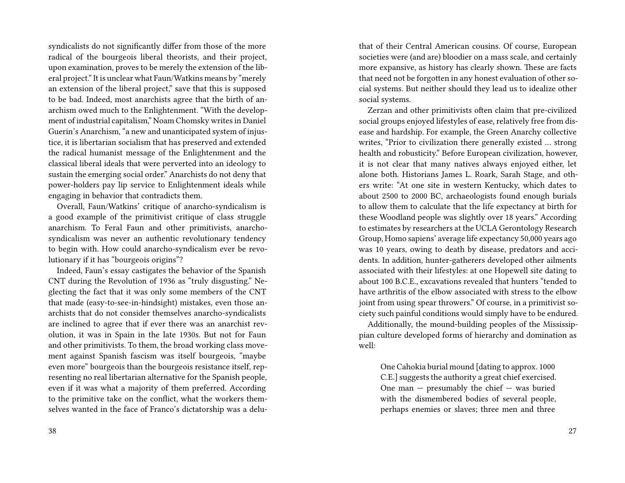syndicalists do not significantly differ from those of the more radical of the bourgeois liberal theorists, and their project, upon examination, proves to be merely the extension of the liberal project." It is unclear what Faun/Watkins means by "merely an extension of the liberal project," save that this is supposed to be bad. Indeed, most anarchists agree that the birth of anarchism owed much to the Enlightenment. "With the development of industrial capitalism," Noam Chomsky writes in Daniel Guerin's Anarchism, "a new and unanticipated system of injustice, it is libertarian socialism that has preserved and extended the radical humanist message of the Enlightenment and the classical liberal ideals that were perverted into an ideology to sustain the emerging social order." Anarchists do not deny that power-holders pay lip service to Enlightenment ideals while engaging in behavior that contradicts them.

Overall, Faun/Watkins' critique of anarcho-syndicalism is a good example of the primitivist critique of class struggle anarchism. To Feral Faun and other primitivists, anarchosyndicalism was never an authentic revolutionary tendency to begin with. How could anarcho-syndicalism ever be revolutionary if it has "bourgeois origins"?

Indeed, Faun's essay castigates the behavior of the Spanish CNT during the Revolution of 1936 as "truly disgusting." Neglecting the fact that it was only some members of the CNT that made (easy-to-see-in-hindsight) mistakes, even those anarchists that do not consider themselves anarcho-syndicalists are inclined to agree that if ever there was an anarchist revolution, it was in Spain in the late 1930s. But not for Faun and other primitivists. To them, the broad working class movement against Spanish fascism was itself bourgeois, "maybe even more" bourgeois than the bourgeois resistance itself, representing no real libertarian alternative for the Spanish people, even if it was what a majority of them preferred. According to the primitive take on the conflict, what the workers themselves wanted in the face of Franco's dictatorship was a deluthat of their Central American cousins. Of course, European societies were (and are) bloodier on a mass scale, and certainly more expansive, as history has clearly shown. These are facts that need not be forgotten in any honest evaluation of other social systems. But neither should they lead us to idealize other social systems.

Zerzan and other primitivists often claim that pre-civilized social groups enjoyed lifestyles of ease, relatively free from disease and hardship. For example, the Green Anarchy collective writes, "Prior to civilization there generally existed … strong health and robusticity." Before European civilization, however, it is not clear that many natives always enjoyed either, let alone both. Historians James L. Roark, Sarah Stage, and others write: "At one site in western Kentucky, which dates to about 2500 to 2000 BC, archaeologists found enough burials to allow them to calculate that the life expectancy at birth for these Woodland people was slightly over 18 years." According to estimates by researchers at the UCLA Gerontology Research Group, Homo sapiens' average life expectancy 50,000 years ago was 10 years, owing to death by disease, predators and accidents. In addition, hunter-gatherers developed other ailments associated with their lifestyles: at one Hopewell site dating to about 100 B.C.E., excavations revealed that hunters "tended to have arthritis of the elbow associated with stress to the elbow joint from using spear throwers." Of course, in a primitivist society such painful conditions would simply have to be endured.

Additionally, the mound-building peoples of the Mississippian culture developed forms of hierarchy and domination as well:

One Cahokia burial mound [dating to approx. 1000 C.E.] suggests the authority a great chief exercised. One man — presumably the chief — was buried with the dismembered bodies of several people, perhaps enemies or slaves; three men and three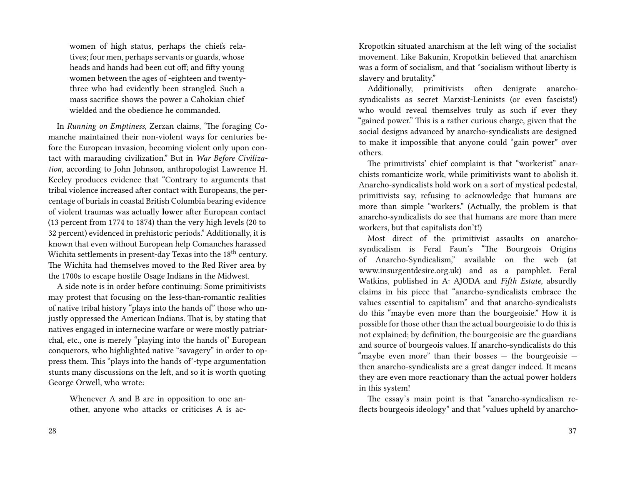women of high status, perhaps the chiefs relatives; four men, perhaps servants or guards, whose heads and hands had been cut off; and fifty young women between the ages of -eighteen and twentythree who had evidently been strangled. Such a mass sacrifice shows the power a Cahokian chief wielded and the obedience he commanded.

In *Running on Emptiness*, Zerzan claims, 'The foraging Comanche maintained their non-violent ways for centuries before the European invasion, becoming violent only upon contact with marauding civilization." But in *War Before Civilization*, according to John Johnson, anthropologist Lawrence H. Keeley produces evidence that "Contrary to arguments that tribal violence increased after contact with Europeans, the percentage of burials in coastal British Columbia bearing evidence of violent traumas was actually **lower** after European contact (13 percent from 1774 to 1874) than the very high levels (20 to 32 percent) evidenced in prehistoric periods." Additionally, it is known that even without European help Comanches harassed Wichita settlements in present-day Texas into the 18<sup>th</sup> century. The Wichita had themselves moved to the Red River area by the 1700s to escape hostile Osage Indians in the Midwest.

A side note is in order before continuing: Some primitivists may protest that focusing on the less-than-romantic realities of native tribal history "plays into the hands of" those who unjustly oppressed the American Indians. That is, by stating that natives engaged in internecine warfare or were mostly patriarchal, etc., one is merely "playing into the hands of' European conquerors, who highlighted native "savagery" in order to oppress them. This "plays into the hands of'-type argumentation stunts many discussions on the left, and so it is worth quoting George Orwell, who wrote:

Whenever A and B are in opposition to one another, anyone who attacks or criticises A is acKropotkin situated anarchism at the left wing of the socialist movement. Like Bakunin, Kropotkin believed that anarchism was a form of socialism, and that "socialism without liberty is slavery and brutality."

Additionally, primitivists often denigrate anarchosyndicalists as secret Marxist-Leninists (or even fascists!) who would reveal themselves truly as such if ever they "gained power." This is a rather curious charge, given that the social designs advanced by anarcho-syndicalists are designed to make it impossible that anyone could "gain power" over others.

The primitivists' chief complaint is that "workerist" anarchists romanticize work, while primitivists want to abolish it. Anarcho-syndicalists hold work on a sort of mystical pedestal, primitivists say, refusing to acknowledge that humans are more than simple "workers." (Actually, the problem is that anarcho-syndicalists do see that humans are more than mere workers, but that capitalists don't!)

Most direct of the primitivist assaults on anarchosyndicalism is Feral Faun's "The Bourgeois Origins of Anarcho-Syndicalism," available on the web (at www.insurgentdesire.org.uk) and as a pamphlet. Feral Watkins, published in A: AJODA and *Fifth Estate*, absurdly claims in his piece that "anarcho-syndicalists embrace the values essential to capitalism" and that anarcho-syndicalists do this "maybe even more than the bourgeoisie." How it is possible for those other than the actual bourgeoisie to do this is not explained; by definition, the bourgeoisie are the guardians and source of bourgeois values. If anarcho-syndicalists do this "maybe even more" than their bosses  $-$  the bourgeoisie  $$ then anarcho-syndicalists are a great danger indeed. It means they are even more reactionary than the actual power holders in this system!

The essay's main point is that "anarcho-syndicalism reflects bourgeois ideology" and that "values upheld by anarcho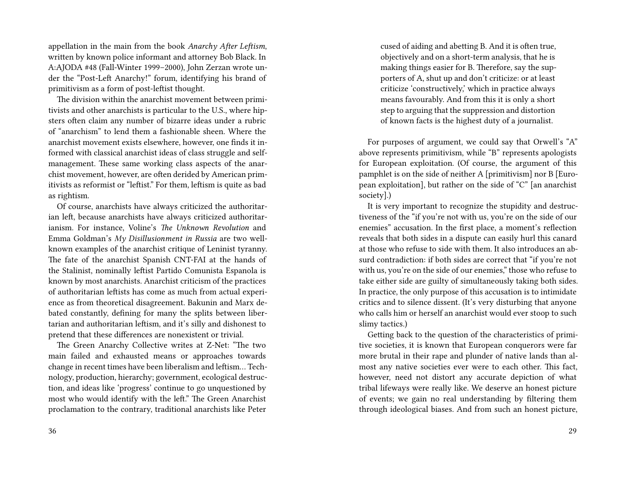appellation in the main from the book *Anarchy After Leftism*, written by known police informant and attorney Bob Black. In A:AJODA #48 (Fall-Winter 1999–2000), John Zerzan wrote under the "Post-Left Anarchy!" forum, identifying his brand of primitivism as a form of post-leftist thought.

The division within the anarchist movement between primitivists and other anarchists is particular to the U.S., where hipsters often claim any number of bizarre ideas under a rubric of "anarchism" to lend them a fashionable sheen. Where the anarchist movement exists elsewhere, however, one finds it informed with classical anarchist ideas of class struggle and selfmanagement. These same working class aspects of the anarchist movement, however, are often derided by American primitivists as reformist or "leftist." For them, leftism is quite as bad as rightism.

Of course, anarchists have always criticized the authoritarian left, because anarchists have always criticized authoritarianism. For instance, Voline's *The Unknown Revolution* and Emma Goldman's *My Disillusionment in Russia* are two wellknown examples of the anarchist critique of Leninist tyranny. The fate of the anarchist Spanish CNT-FAI at the hands of the Stalinist, nominally leftist Partido Comunista Espanola is known by most anarchists. Anarchist criticism of the practices of authoritarian leftists has come as much from actual experience as from theoretical disagreement. Bakunin and Marx debated constantly, defining for many the splits between libertarian and authoritarian leftism, and it's silly and dishonest to pretend that these differences are nonexistent or trivial.

The Green Anarchy Collective writes at Z-Net: "The two main failed and exhausted means or approaches towards change in recent times have been liberalism and leftism… Technology, production, hierarchy; government, ecological destruction, and ideas like 'progress' continue to go unquestioned by most who would identify with the left." The Green Anarchist proclamation to the contrary, traditional anarchists like Peter

cused of aiding and abetting B. And it is often true, objectively and on a short-term analysis, that he is making things easier for B. Therefore, say the supporters of A, shut up and don't criticize: or at least criticize 'constructively,' which in practice always means favourably. And from this it is only a short step to arguing that the suppression and distortion of known facts is the highest duty of a journalist.

For purposes of argument, we could say that Orwell's "A" above represents primitivism, while "B" represents apologists for European exploitation. (Of course, the argument of this pamphlet is on the side of neither A [primitivism] nor B [European exploitation], but rather on the side of "C" [an anarchist society].)

It is very important to recognize the stupidity and destructiveness of the "if you're not with us, you're on the side of our enemies" accusation. In the first place, a moment's reflection reveals that both sides in a dispute can easily hurl this canard at those who refuse to side with them. It also introduces an absurd contradiction: if both sides are correct that "if you're not with us, you're on the side of our enemies," those who refuse to take either side are guilty of simultaneously taking both sides. In practice, the only purpose of this accusation is to intimidate critics and to silence dissent. (It's very disturbing that anyone who calls him or herself an anarchist would ever stoop to such slimy tactics.)

Getting back to the question of the characteristics of primitive societies, it is known that European conquerors were far more brutal in their rape and plunder of native lands than almost any native societies ever were to each other. This fact, however, need not distort any accurate depiction of what tribal lifeways were really like. We deserve an honest picture of events; we gain no real understanding by filtering them through ideological biases. And from such an honest picture,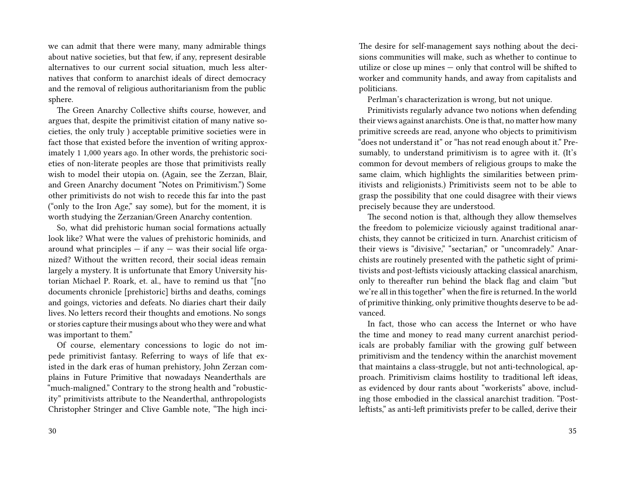we can admit that there were many, many admirable things about native societies, but that few, if any, represent desirable alternatives to our current social situation, much less alternatives that conform to anarchist ideals of direct democracy and the removal of religious authoritarianism from the public sphere.

The Green Anarchy Collective shifts course, however, and argues that, despite the primitivist citation of many native societies, the only truly ) acceptable primitive societies were in fact those that existed before the invention of writing approximately 1 1,000 years ago. In other words, the prehistoric societies of non-literate peoples are those that primitivists really wish to model their utopia on. (Again, see the Zerzan, Blair, and Green Anarchy document "Notes on Primitivism.") Some other primitivists do not wish to recede this far into the past ("only to the Iron Age," say some), but for the moment, it is worth studying the Zerzanian/Green Anarchy contention.

So, what did prehistoric human social formations actually look like? What were the values of prehistoric hominids, and around what principles  $-$  if any  $-$  was their social life organized? Without the written record, their social ideas remain largely a mystery. It is unfortunate that Emory University historian Michael P. Roark, et. al., have to remind us that "[no documents chronicle [prehistoric] births and deaths, comings and goings, victories and defeats. No diaries chart their daily lives. No letters record their thoughts and emotions. No songs or stories capture their musings about who they were and what was important to them."

Of course, elementary concessions to logic do not impede primitivist fantasy. Referring to ways of life that existed in the dark eras of human prehistory, John Zerzan complains in Future Primitive that nowadays Neanderthals are "much-maligned." Contrary to the strong health and "robusticity" primitivists attribute to the Neanderthal, anthropologists Christopher Stringer and Clive Gamble note, "The high inciThe desire for self-management says nothing about the decisions communities will make, such as whether to continue to utilize or close up mines — only that control will be shifted to worker and community hands, and away from capitalists and politicians.

Perlman's characterization is wrong, but not unique.

Primitivists regularly advance two notions when defending their views against anarchists. One is that, no matter how many primitive screeds are read, anyone who objects to primitivism "does not understand it" or "has not read enough about it." Presumably, to understand primitivism is to agree with it. (It's common for devout members of religious groups to make the same claim, which highlights the similarities between primitivists and religionists.) Primitivists seem not to be able to grasp the possibility that one could disagree with their views precisely because they are understood.

The second notion is that, although they allow themselves the freedom to polemicize viciously against traditional anarchists, they cannot be criticized in turn. Anarchist criticism of their views is "divisive," "sectarian," or "uncomradely." Anarchists are routinely presented with the pathetic sight of primitivists and post-leftists viciously attacking classical anarchism, only to thereafter run behind the black flag and claim "but we're all in this together" when the fire is returned. In the world of primitive thinking, only primitive thoughts deserve to be advanced.

In fact, those who can access the Internet or who have the time and money to read many current anarchist periodicals are probably familiar with the growing gulf between primitivism and the tendency within the anarchist movement that maintains a class-struggle, but not anti-technological, approach. Primitivism claims hostility to traditional left ideas, as evidenced by dour rants about "workerists" above, including those embodied in the classical anarchist tradition. "Postleftists," as anti-left primitivists prefer to be called, derive their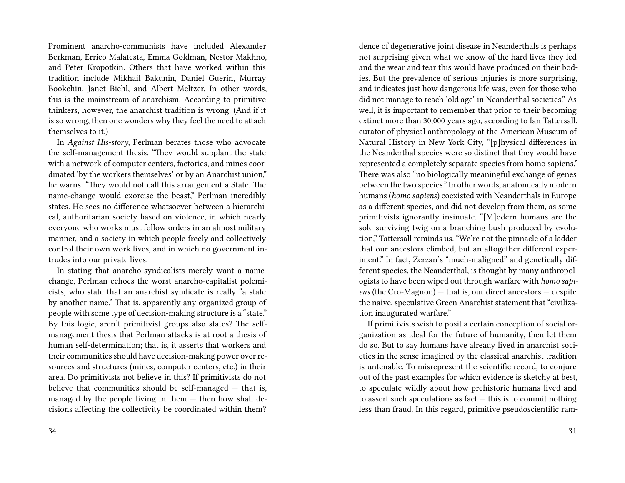Prominent anarcho-communists have included Alexander Berkman, Errico Malatesta, Emma Goldman, Nestor Makhno, and Peter Kropotkin. Others that have worked within this tradition include Mikhail Bakunin, Daniel Guerin, Murray Bookchin, Janet Biehl, and Albert Meltzer. In other words, this is the mainstream of anarchism. According to primitive thinkers, however, the anarchist tradition is wrong. (And if it is so wrong, then one wonders why they feel the need to attach themselves to it.)

In *Against His-story*, Perlman berates those who advocate the self-management thesis. "They would supplant the state with a network of computer centers, factories, and mines coordinated 'by the workers themselves' or by an Anarchist union," he warns. "They would not call this arrangement a State. The name-change would exorcise the beast," Perlman incredibly states. He sees no difference whatsoever between a hierarchical, authoritarian society based on violence, in which nearly everyone who works must follow orders in an almost military manner, and a society in which people freely and collectively control their own work lives, and in which no government intrudes into our private lives.

In stating that anarcho-syndicalists merely want a namechange, Perlman echoes the worst anarcho-capitalist polemicists, who state that an anarchist syndicate is really "a state by another name." That is, apparently any organized group of people with some type of decision-making structure is a "state." By this logic, aren't primitivist groups also states? The selfmanagement thesis that Perlman attacks is at root a thesis of human self-determination; that is, it asserts that workers and their communities should have decision-making power over resources and structures (mines, computer centers, etc.) in their area. Do primitivists not believe in this? If primitivists do not believe that communities should be self-managed — that is, managed by the people living in them  $-$  then how shall decisions affecting the collectivity be coordinated within them?

dence of degenerative joint disease in Neanderthals is perhaps not surprising given what we know of the hard lives they led and the wear and tear this would have produced on their bodies. But the prevalence of serious injuries is more surprising, and indicates just how dangerous life was, even for those who did not manage to reach 'old age' in Neanderthal societies." As well, it is important to remember that prior to their becoming extinct more than 30,000 years ago, according to Ian Tattersall, curator of physical anthropology at the American Museum of Natural History in New York City, "[p]hysical differences in the Neanderthal species were so distinct that they would have represented a completely separate species from homo sapiens." There was also "no biologically meaningful exchange of genes between the two species." In other words, anatomically modern humans (*homo sapiens*) coexisted with Neanderthals in Europe as a different species, and did not develop from them, as some primitivists ignorantly insinuate. "[M]odern humans are the sole surviving twig on a branching bush produced by evolution," Tattersall reminds us. "We're not the pinnacle of a ladder that our ancestors climbed, but an altogether different experiment." In fact, Zerzan's "much-maligned" and genetically different species, the Neanderthal, is thought by many anthropologists to have been wiped out through warfare with *homo sapiens* (the Cro-Magnon) — that is, our direct ancestors — despite the naive, speculative Green Anarchist statement that "civilization inaugurated warfare."

If primitivists wish to posit a certain conception of social organization as ideal for the future of humanity, then let them do so. But to say humans have already lived in anarchist societies in the sense imagined by the classical anarchist tradition is untenable. To misrepresent the scientific record, to conjure out of the past examples for which evidence is sketchy at best, to speculate wildly about how prehistoric humans lived and to assert such speculations as fact — this is to commit nothing less than fraud. In this regard, primitive pseudoscientific ram